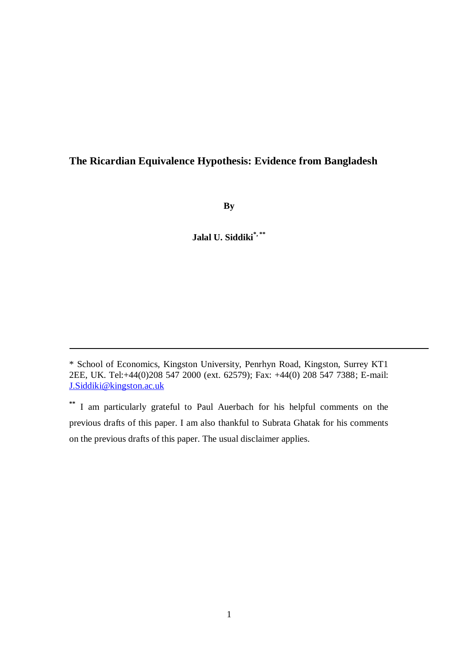# **The Ricardian Equivalence Hypothesis: Evidence from Bangladesh**

**By**

**Jalal U. Siddiki\*, \*\***

<sup>\*</sup> School of Economics, Kingston University, Penrhyn Road, Kingston, Surrey KT1 2EE, UK. Tel:+44(0)208 547 2000 (ext. 62579); Fax: +44(0) 208 547 7388; E-mail: [J.Siddiki@kingston.ac.uk](mailto:J.Siddiki@kingston.ac.uk)

**<sup>\*\*</sup>** I am particularly grateful to Paul Auerbach for his helpful comments on the previous drafts of this paper. I am also thankful to Subrata Ghatak for his comments on the previous drafts of this paper. The usual disclaimer applies.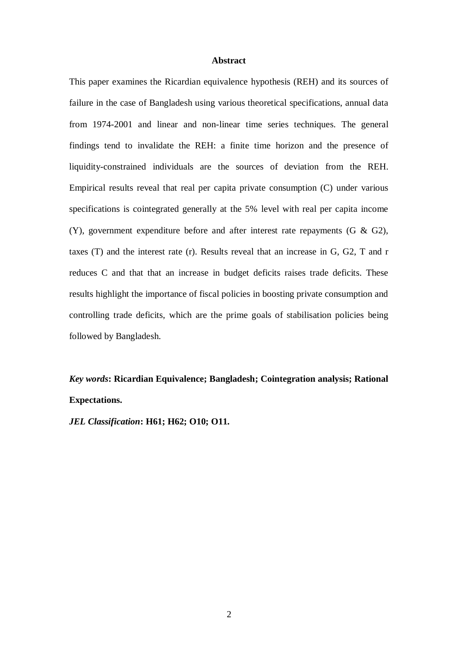## **Abstract**

This paper examines the Ricardian equivalence hypothesis (REH) and its sources of failure in the case of Bangladesh using various theoretical specifications, annual data from 1974-2001 and linear and non-linear time series techniques. The general findings tend to invalidate the REH: a finite time horizon and the presence of liquidity-constrained individuals are the sources of deviation from the REH. Empirical results reveal that real per capita private consumption (C) under various specifications is cointegrated generally at the 5% level with real per capita income (Y), government expenditure before and after interest rate repayments (G & G2), taxes (T) and the interest rate (r). Results reveal that an increase in G, G2, T and r reduces C and that that an increase in budget deficits raises trade deficits. These results highlight the importance of fiscal policies in boosting private consumption and controlling trade deficits, which are the prime goals of stabilisation policies being followed by Bangladesh.

# *Key words***: Ricardian Equivalence; Bangladesh; Cointegration analysis; Rational Expectations.**

*JEL Classification***: H61; H62; O10; O11.**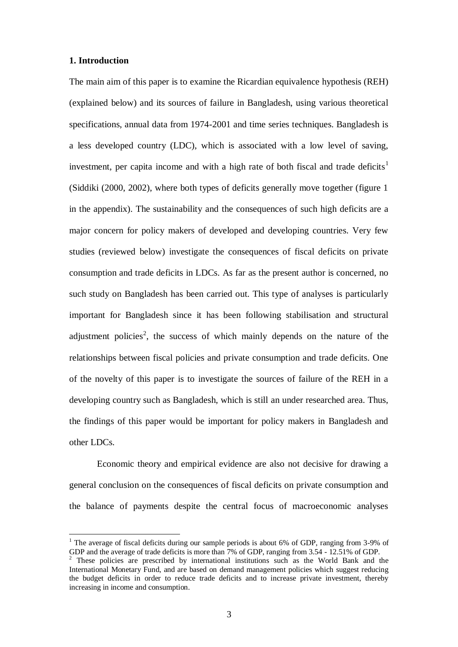## **1. Introduction**

1

The main aim of this paper is to examine the Ricardian equivalence hypothesis (REH) (explained below) and its sources of failure in Bangladesh, using various theoretical specifications, annual data from 1974-2001 and time series techniques. Bangladesh is a less developed country (LDC), which is associated with a low level of saving, investment, per capita income and with a high rate of both fiscal and trade deficits<sup>1</sup> (Siddiki (2000, 2002), where both types of deficits generally move together (figure 1 in the appendix). The sustainability and the consequences of such high deficits are a major concern for policy makers of developed and developing countries. Very few studies (reviewed below) investigate the consequences of fiscal deficits on private consumption and trade deficits in LDCs. As far as the present author is concerned, no such study on Bangladesh has been carried out. This type of analyses is particularly important for Bangladesh since it has been following stabilisation and structural adjustment policies<sup>2</sup>, the success of which mainly depends on the nature of the relationships between fiscal policies and private consumption and trade deficits. One of the novelty of this paper is to investigate the sources of failure of the REH in a developing country such as Bangladesh, which is still an under researched area. Thus, the findings of this paper would be important for policy makers in Bangladesh and other LDCs.

Economic theory and empirical evidence are also not decisive for drawing a general conclusion on the consequences of fiscal deficits on private consumption and the balance of payments despite the central focus of macroeconomic analyses

<sup>&</sup>lt;sup>1</sup> The average of fiscal deficits during our sample periods is about 6% of GDP, ranging from 3-9% of GDP and the average of trade deficits is more than 7% of GDP, ranging from 3.54 - 12.51% of GDP.

<sup>2</sup> These policies are prescribed by international institutions such as the World Bank and the International Monetary Fund, and are based on demand management policies which suggest reducing the budget deficits in order to reduce trade deficits and to increase private investment, thereby increasing in income and consumption.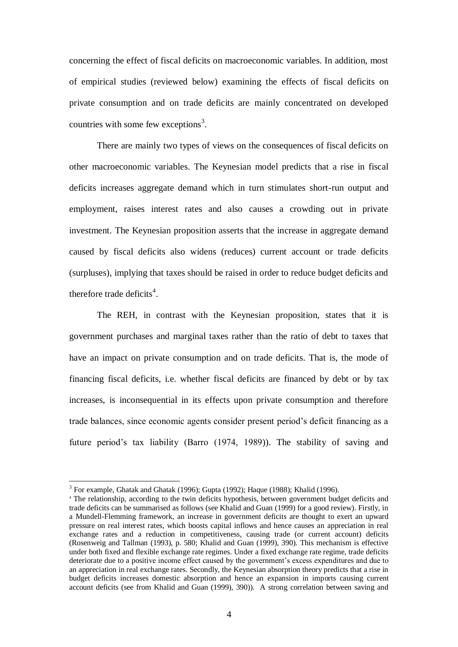concerning the effect of fiscal deficits on macroeconomic variables. In addition, most of empirical studies (reviewed below) examining the effects of fiscal deficits on private consumption and on trade deficits are mainly concentrated on developed countries with some few exceptions<sup>3</sup>.

There are mainly two types of views on the consequences of fiscal deficits on other macroeconomic variables. The Keynesian model predicts that a rise in fiscal deficits increases aggregate demand which in turn stimulates short-run output and employment, raises interest rates and also causes a crowding out in private investment. The Keynesian proposition asserts that the increase in aggregate demand caused by fiscal deficits also widens (reduces) current account or trade deficits (surpluses), implying that taxes should be raised in order to reduce budget deficits and therefore trade deficits<sup>4</sup>.

The REH, in contrast with the Keynesian proposition, states that it is government purchases and marginal taxes rather than the ratio of debt to taxes that have an impact on private consumption and on trade deficits. That is, the mode of financing fiscal deficits, i.e. whether fiscal deficits are financed by debt or by tax increases, is inconsequential in its effects upon private consumption and therefore trade balances, since economic agents consider present period's deficit financing as a future period's tax liability (Barro (1974, 1989)). The stability of saving and

<u>.</u>

<sup>&</sup>lt;sup>3</sup> For example, Ghatak and Ghatak (1996); Gupta (1992); Haque (1988); Khalid (1996).

<sup>&</sup>lt;sup>4</sup> The relationship, according to the twin deficits hypothesis, between government budget deficits and trade deficits can be summarised as follows (see Khalid and Guan (1999) for a good review). Firstly, in a Mundell-Flemming framework, an increase in government deficits are thought to exert an upward pressure on real interest rates, which boosts capital inflows and hence causes an appreciation in real exchange rates and a reduction in competitiveness, causing trade (or current account) deficits (Rosenweig and Tallman (1993), p. 580; Khalid and Guan (1999), 390). This mechanism is effective under both fixed and flexible exchange rate regimes. Under a fixed exchange rate regime, trade deficits deteriorate due to a positive income effect caused by the government's excess expenditures and due to an appreciation in real exchange rates. Secondly, the Keynesian absorption theory predicts that a rise in budget deficits increases domestic absorption and hence an expansion in imports causing current account deficits (see from Khalid and Guan (1999), 390)). A strong correlation between saving and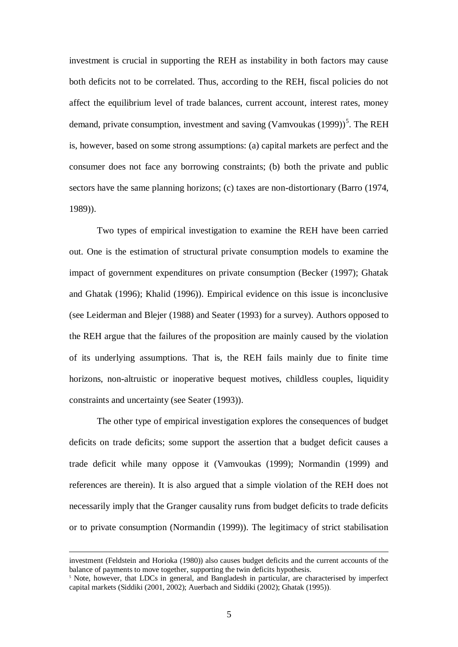investment is crucial in supporting the REH as instability in both factors may cause both deficits not to be correlated. Thus, according to the REH, fiscal policies do not affect the equilibrium level of trade balances, current account, interest rates, money demand, private consumption, investment and saving (Vamvoukas  $(1999)$ )<sup>5</sup>. The REH is, however, based on some strong assumptions: (a) capital markets are perfect and the consumer does not face any borrowing constraints; (b) both the private and public sectors have the same planning horizons; (c) taxes are non-distortionary (Barro (1974, 1989)).

Two types of empirical investigation to examine the REH have been carried out. One is the estimation of structural private consumption models to examine the impact of government expenditures on private consumption (Becker (1997); Ghatak and Ghatak (1996); Khalid (1996)). Empirical evidence on this issue is inconclusive (see Leiderman and Blejer (1988) and Seater (1993) for a survey). Authors opposed to the REH argue that the failures of the proposition are mainly caused by the violation of its underlying assumptions. That is, the REH fails mainly due to finite time horizons, non-altruistic or inoperative bequest motives, childless couples, liquidity constraints and uncertainty (see Seater (1993)).

The other type of empirical investigation explores the consequences of budget deficits on trade deficits; some support the assertion that a budget deficit causes a trade deficit while many oppose it (Vamvoukas (1999); Normandin (1999) and references are therein). It is also argued that a simple violation of the REH does not necessarily imply that the Granger causality runs from budget deficits to trade deficits or to private consumption (Normandin (1999)). The legitimacy of strict stabilisation

<u>.</u>

investment (Feldstein and Horioka (1980)) also causes budget deficits and the current accounts of the balance of payments to move together, supporting the twin deficits hypothesis.

<sup>&</sup>lt;sup>5</sup> Note, however, that LDCs in general, and Bangladesh in particular, are characterised by imperfect capital markets (Siddiki (2001, 2002); Auerbach and Siddiki (2002); Ghatak (1995)).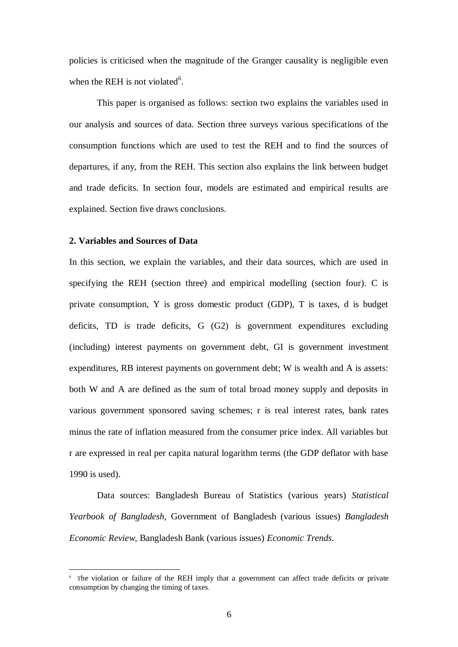policies is criticised when the magnitude of the Granger causality is negligible even when the REH is not violated $6$ .

This paper is organised as follows: section two explains the variables used in our analysis and sources of data. Section three surveys various specifications of the consumption functions which are used to test the REH and to find the sources of departures, if any, from the REH. This section also explains the link between budget and trade deficits. In section four, models are estimated and empirical results are explained. Section five draws conclusions.

### **2. Variables and Sources of Data**

1

In this section, we explain the variables, and their data sources, which are used in specifying the REH (section three) and empirical modelling (section four). C is private consumption, Y is gross domestic product (GDP), T is taxes, d is budget deficits, TD is trade deficits, G (G2) is government expenditures excluding (including) interest payments on government debt, GI is government investment expenditures, RB interest payments on government debt; W is wealth and A is assets: both W and A are defined as the sum of total broad money supply and deposits in various government sponsored saving schemes; r is real interest rates, bank rates minus the rate of inflation measured from the consumer price index. All variables but r are expressed in real per capita natural logarithm terms (the GDP deflator with base 1990 is used).

Data sources: Bangladesh Bureau of Statistics (various years) *Statistical Yearbook of Bangladesh*, Government of Bangladesh (various issues) *Bangladesh Economic Review*, Bangladesh Bank (various issues) *Economic Trends*.

<sup>&</sup>lt;sup>6</sup> The violation or failure of the REH imply that a government can affect trade deficits or private consumption by changing the timing of taxes.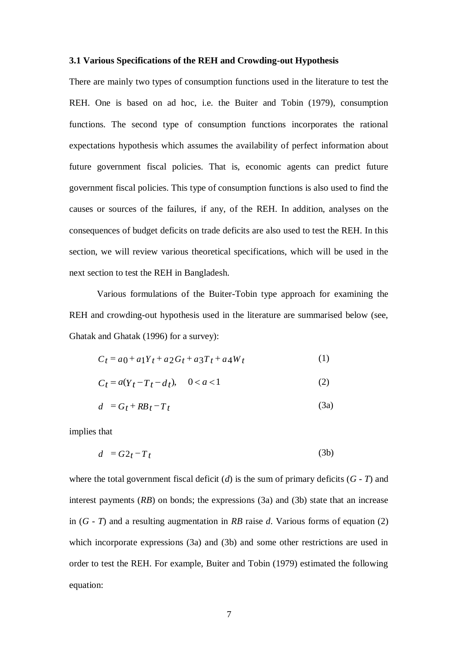## **3.1 Various Specifications of the REH and Crowding-out Hypothesis**

There are mainly two types of consumption functions used in the literature to test the REH. One is based on ad hoc, i.e. the Buiter and Tobin (1979), consumption functions. The second type of consumption functions incorporates the rational expectations hypothesis which assumes the availability of perfect information about future government fiscal policies. That is, economic agents can predict future government fiscal policies. This type of consumption functions is also used to find the causes or sources of the failures, if any, of the REH. In addition, analyses on the consequences of budget deficits on trade deficits are also used to test the REH. In this section, we will review various theoretical specifications, which will be used in the next section to test the REH in Bangladesh.

Various formulations of the Buiter-Tobin type approach for examining the REH and crowding-out hypothesis used in the literature are summarised below (see, Ghatak and Ghatak (1996) for a survey):

$$
C_t = a_0 + a_1 Y_t + a_2 G_t + a_3 T_t + a_4 W_t \tag{1}
$$

$$
C_t = a(Y_t - T_t - d_t), \quad 0 < a < 1 \tag{2}
$$

$$
d = G_t + RB_t - T_t \tag{3a}
$$

implies that

$$
d = G2_t - T_t \tag{3b}
$$

where the total government fiscal deficit  $(d)$  is the sum of primary deficits  $(G - T)$  and interest payments (*RB*) on bonds; the expressions (3a) and (3b) state that an increase in (*G - T*) and a resulting augmentation in *RB* raise *d*. Various forms of equation (2) which incorporate expressions (3a) and (3b) and some other restrictions are used in order to test the REH. For example, Buiter and Tobin (1979) estimated the following equation: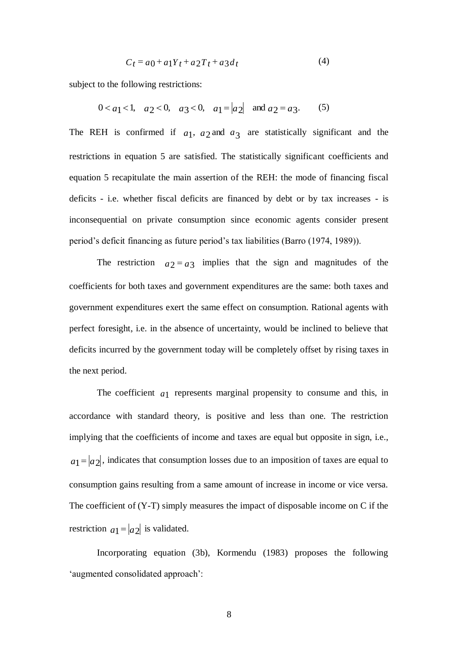$$
C_t = a_0 + a_1 Y_t + a_2 T_t + a_3 d_t \tag{4}
$$

subject to the following restrictions:

$$
0 < a_1 < 1
$$
,  $a_2 < 0$ ,  $a_3 < 0$ ,  $a_1 = |a_2|$  and  $a_2 = a_3$ . (5)

The REH is confirmed if  $a_1$ ,  $a_2$  and  $a_3$  are statistically significant and the restrictions in equation 5 are satisfied. The statistically significant coefficients and equation 5 recapitulate the main assertion of the REH: the mode of financing fiscal deficits - i.e. whether fiscal deficits are financed by debt or by tax increases - is inconsequential on private consumption since economic agents consider present period's deficit financing as future period's tax liabilities (Barro (1974, 1989)).

The restriction  $a_2 = a_3$  implies that the sign and magnitudes of the coefficients for both taxes and government expenditures are the same: both taxes and government expenditures exert the same effect on consumption. Rational agents with perfect foresight, i.e. in the absence of uncertainty, would be inclined to believe that deficits incurred by the government today will be completely offset by rising taxes in the next period.

The coefficient  $a_1$  represents marginal propensity to consume and this, in accordance with standard theory, is positive and less than one. The restriction implying that the coefficients of income and taxes are equal but opposite in sign, i.e.,  $a_1 = |a_2|$ , indicates that consumption losses due to an imposition of taxes are equal to consumption gains resulting from a same amount of increase in income or vice versa. The coefficient of  $(Y-T)$  simply measures the impact of disposable income on C if the restriction  $a_1 = |a_2|$  is validated.

Incorporating equation (3b), Kormendu (1983) proposes the following 'augmented consolidated approach':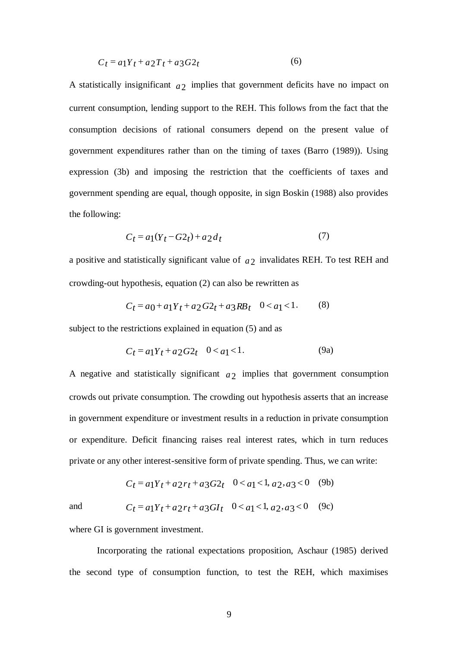$$
C_t = a_1 Y_t + a_2 T_t + a_3 G 2_t \tag{6}
$$

A statistically insignificant  $a_2$  implies that government deficits have no impact on current consumption, lending support to the REH. This follows from the fact that the consumption decisions of rational consumers depend on the present value of government expenditures rather than on the timing of taxes (Barro (1989)). Using expression (3b) and imposing the restriction that the coefficients of taxes and government spending are equal, though opposite, in sign Boskin (1988) also provides the following:

$$
C_t = a_1(Y_t - G2_t) + a_2 d_t \tag{7}
$$

a positive and statistically significant value of  $a_2$  invalidates REH. To test REH and crowding-out hypothesis, equation (2) can also be rewritten as

$$
C_t = a_0 + a_1 Y_t + a_2 G_2 t + a_3 R B_t \quad 0 < a_1 < 1. \tag{8}
$$

subject to the restrictions explained in equation (5) and as

$$
C_t = a_1 Y_t + a_2 G_2 t \quad 0 < a_1 < 1. \tag{9a}
$$

A negative and statistically significant  $a_2$  implies that government consumption crowds out private consumption. The crowding out hypothesis asserts that an increase in government expenditure or investment results in a reduction in private consumption or expenditure. Deficit financing raises real interest rates, which in turn reduces private or any other interest-sensitive form of private spending. Thus, we can write:

$$
C_t = a_1 Y_t + a_2 r_t + a_3 G_2 t \quad 0 < a_1 < 1, \, a_2, \, a_3 < 0 \tag{9b}
$$

and

$$
1 \t Ct = a1Yt + a2rt + a3GIt 0 < a1 < 1, a2, a3 < 0 (9c)
$$

where GI is government investment.

Incorporating the rational expectations proposition, Aschaur (1985) derived the second type of consumption function, to test the REH, which maximises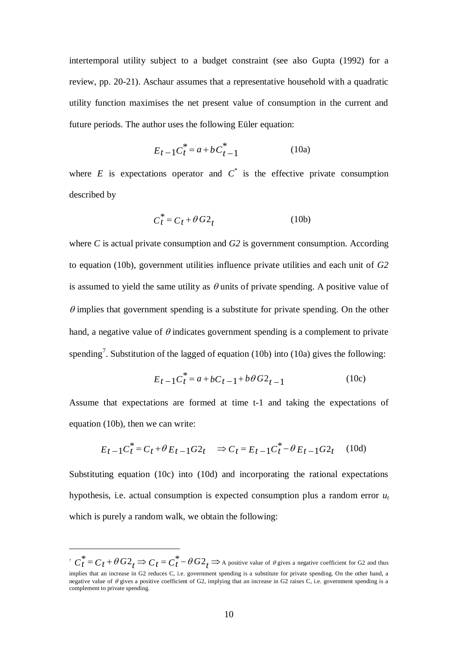intertemporal utility subject to a budget constraint (see also Gupta (1992) for a review, pp. 20-21). Aschaur assumes that a representative household with a quadratic utility function maximises the net present value of consumption in the current and future periods. The author uses the following Eüler equation:

$$
E_{t-1}C_t^* = a + b C_{t-1}^*
$$
 (10a)

where  $E$  is expectations operator and  $C^*$  is the effective private consumption described by

$$
C_t^* = C_t + \theta G2_t \tag{10b}
$$

where *C* is actual private consumption and *G2* is government consumption. According to equation (10b), government utilities influence private utilities and each unit of *G2* is assumed to yield the same utility as  $\theta$  units of private spending. A positive value of  $\theta$  implies that government spending is a substitute for private spending. On the other hand, a negative value of  $\theta$  indicates government spending is a complement to private spending<sup>7</sup>. Substitution of the lagged of equation (10b) into (10a) gives the following:

$$
E_{t-1}C_t^* = a + bC_{t-1} + b\theta G_2_{t-1}
$$
 (10c)

Assume that expectations are formed at time t-1 and taking the expectations of equation (10b), then we can write:

$$
E_{t-1}C_t^* = C_t + \theta E_{t-1}G_2t \implies C_t = E_{t-1}C_t^* - \theta E_{t-1}G_2t \quad (10d)
$$

Substituting equation (10c) into (10d) and incorporating the rational expectations hypothesis, i.e. actual consumption is expected consumption plus a random error *u<sup>t</sup>* which is purely a random walk, we obtain the following:

1

 $\int^{\tau} C_t^* = C_t + \theta \, G2_t \Rightarrow C_t = C_t^* - \theta \, G2_t \Rightarrow$  A positive value of  $\theta$  gives a negative coefficient for G2 and thus implies that an increase in G2 reduces C, i.e. government spending is a substitute for private spending. On the other hand, a negative value of  $\theta$  gives a positive coefficient of G2, implying that an increase in G2 raises C, i.e. government spending is a complement to private spending.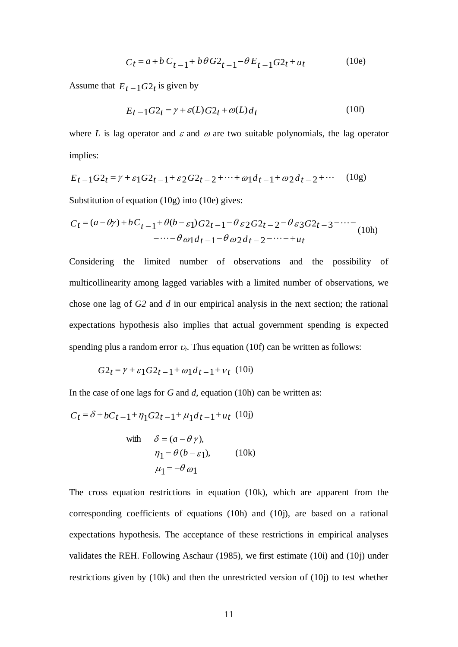$$
C_t = a + b C_{t-1} + b\theta G_2 - 1 - \theta E_{t-1} G_2 + u_t
$$
 (10e)

Assume that  $E_t = 1G2_t$  is given by

$$
E_t - 1G2_t = \gamma + \varepsilon(L)G2_t + \omega(L)d_t \tag{10f}
$$

where *L* is lag operator and  $\varepsilon$  and  $\omega$  are two suitable polynomials, the lag operator implies:

$$
E_{t-1}G_2t = \gamma + \varepsilon_1 G_2t - 1 + \varepsilon_2 G_2t - 2 + \dots + \omega_1 d_1 - 1 + \omega_2 d_1 - 2 + \dots \tag{10g}
$$

Substitution of equation (10g) into (10e) gives:

$$
C_t = (a - \theta \gamma) + bC_{t-1} + \theta(b - \varepsilon_1)G_2 - 1 - \theta \varepsilon_2 G_2 - 2 - \theta \varepsilon_3 G_2 - 3 - \cdots - \theta \varepsilon_1 d_{t-1} - \theta \omega_2 d_{t-2} - \cdots - \varepsilon_{u_t}
$$
\n(10h)

Considering the limited number of observations and the possibility of multicollinearity among lagged variables with a limited number of observations, we chose one lag of *G2* and *d* in our empirical analysis in the next section; the rational expectations hypothesis also implies that actual government spending is expected spending plus a random error  $v_t$ . Thus equation (10f) can be written as follows:

$$
G2_t = \gamma + \varepsilon_1 G2_{t-1} + \omega_1 d_{t-1} + v_t
$$
 (10i)

In the case of one lags for *G* and *d*, equation (10h) can be written as:

$$
C_t = \delta + bC_{t-1} + \eta_1 G_2_{t-1} + \mu_1 d_{t-1} + u_t \tag{10j}
$$

with 
$$
\delta = (a - \theta \gamma)
$$
,  
\n $\eta_1 = \theta (b - \varepsilon_1)$ , (10k)  
\n $\mu_1 = -\theta \omega_1$ 

The cross equation restrictions in equation (10k), which are apparent from the corresponding coefficients of equations (10h) and (10j), are based on a rational expectations hypothesis. The acceptance of these restrictions in empirical analyses validates the REH. Following Aschaur (1985), we first estimate (10i) and (10j) under restrictions given by (10k) and then the unrestricted version of (10j) to test whether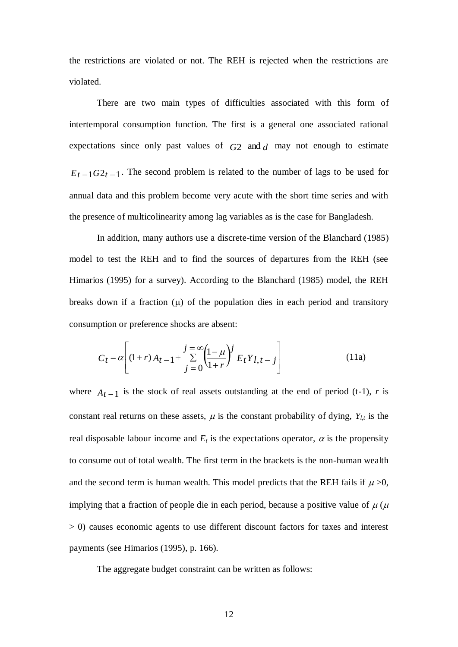the restrictions are violated or not. The REH is rejected when the restrictions are violated.

There are two main types of difficulties associated with this form of intertemporal consumption function. The first is a general one associated rational expectations since only past values of  $G2$  and  $d$  may not enough to estimate  $E_t - 1G_2t - 1$ . The second problem is related to the number of lags to be used for annual data and this problem become very acute with the short time series and with the presence of multicolinearity among lag variables as is the case for Bangladesh.

In addition, many authors use a discrete-time version of the Blanchard (1985) model to test the REH and to find the sources of departures from the REH (see Himarios (1995) for a survey). According to the Blanchard (1985) model, the REH breaks down if a fraction  $(\mu)$  of the population dies in each period and transitory consumption or preference shocks are absent:

$$
C_{t} = \alpha \left[ (1+r) A_{t-1} + \sum_{j=0}^{j=\infty} \left( \frac{1-\mu}{1+r} \right)^{j} E_{t} Y_{l,t-j} \right]
$$
(11a)

where  $A_{t-1}$  is the stock of real assets outstanding at the end of period (t-1), *r* is constant real returns on these assets,  $\mu$  is the constant probability of dying,  $Y_{l,t}$  is the real disposable labour income and  $E_t$  is the expectations operator,  $\alpha$  is the propensity to consume out of total wealth. The first term in the brackets is the non-human wealth and the second term is human wealth. This model predicts that the REH fails if  $\mu > 0$ , implying that a fraction of people die in each period, because a positive value of  $\mu$  ( $\mu$ > 0) causes economic agents to use different discount factors for taxes and interest payments (see Himarios (1995), p. 166).

The aggregate budget constraint can be written as follows: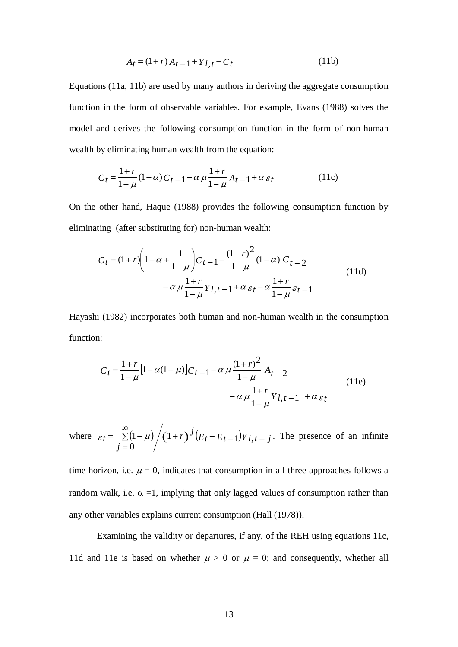$$
A_t = (1+r) A_{t-1} + Y_{l,t} - C_t
$$
 (11b)

 $A_t = (1+r)A_t - 1 + Y_{l,t} - C_t$ <br>
11b) are used by many authorm of observable variable<br>
form of observable variable<br>
tives the following consump<br>
nating human wealth from th<br>
nating human wealth from th<br>
nating human wealth from t Equations (11a, 11b) are used by many authors in deriving the aggregate consumption function in the form of observable variables. For example, Evans (1988) solves the model and derives the following consumption function in the form of non-human wealth by eliminating human wealth from the equation:

$$
C_{t} = \frac{1+r}{1-\mu}(1-\alpha)C_{t-1} - \alpha \mu \frac{1+r}{1-\mu}A_{t-1} + \alpha \varepsilon_{t}
$$
 (11c)

On the other hand, Haque (1988) provides the following consumption function by eliminating (after substituting for) non-human wealth:

$$
C_{t} = (1+r)\left(1 - \alpha + \frac{1}{1-\mu}\right)C_{t-1} - \frac{(1+r)^{2}}{1-\mu}(1-\alpha) C_{t-2}
$$
  
- $\alpha \mu \frac{1+r}{1-\mu} Y_{l,t-1} + \alpha \varepsilon_{t} - \alpha \frac{1+r}{1-\mu} \varepsilon_{t-1}$  (11d)

Hayashi (1982) incorporates both human and non-human wealth in the consumption function:

$$
C_{t} = \frac{1+r}{1-\mu} \Big[ 1 - \alpha(1-\mu) \Big] C_{t-1} - \alpha \mu \frac{(1+r)^{2}}{1-\mu} A_{t-2}
$$
  
 
$$
- \alpha \mu \frac{1+r}{1-\mu} Y_{l,t-1} + \alpha \varepsilon_{t}
$$
 (11e)

where  $\varepsilon_t = \sum_{i=1}^{\infty} (1 - \mu) / (1 + r)^j (E_t - E_{t-1}) Y_{l,t+j}$ *j*  $t = \sum (1 - \mu) / (1 + r)^J (E_t - E_{t-1}) Y_{l, t+1}$  $\infty$  $=$  $= \sum (1-\mu) / (1+r)^{J} (E_t - E_{t-1}) Y_l,$  $\boldsymbol{0}$  $\varepsilon_t = \sum (1 - \mu) / (1 + r)^{J} (E_t - E_{t-1}) Y_{l,t+J}$ . The presence of an infinite

time horizon, i.e.  $\mu = 0$ , indicates that consumption in all three approaches follows a random walk, i.e.  $\alpha =1$ , implying that only lagged values of consumption rather than any other variables explains current consumption (Hall (1978)).

Examining the validity or departures, if any, of the REH using equations 11c, 11d and 11e is based on whether  $\mu > 0$  or  $\mu = 0$ ; and consequently, whether all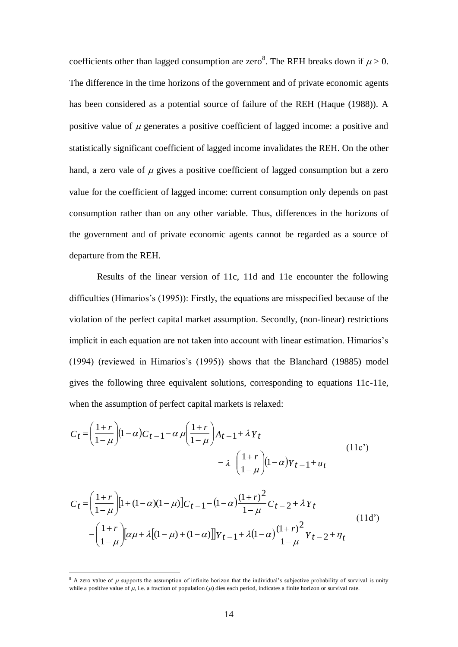coefficients other than lagged consumption are zero<sup>8</sup>. The REH breaks down if  $\mu > 0$ . The difference in the time horizons of the government and of private economic agents has been considered as a potential source of failure of the REH (Haque (1988)). A positive value of  $\mu$  generates a positive coefficient of lagged income: a positive and statistically significant coefficient of lagged income invalidates the REH. On the other hand, a zero vale of  $\mu$  gives a positive coefficient of lagged consumption but a zero value for the coefficient of lagged income: current consumption only depends on past consumption rather than on any other variable. Thus, differences in the horizons of the government and of private economic agents cannot be regarded as a source of departure from the REH.

Results of the linear version of 11c, 11d and 11e encounter the following difficulties (Himarios's (1995)): Firstly, the equations are misspecified because of the violation of the perfect capital market assumption. Secondly, (non-linear) restrictions implicit in each equation are not taken into account with linear estimation. Himarios's (1994) (reviewed in Himarios's (1995)) shows that the Blanchard (19885) model gives the following three equivalent solutions, corresponding to equations 11c-11e, when the assumption of perfect capital markets is relaxed:

$$
C_t = \left(\frac{1+r}{1-\mu}\right)(1-\alpha)C_{t-1} - \alpha \mu \left(\frac{1+r}{1-\mu}\right)A_{t-1} + \lambda Y_t
$$
  

$$
- \lambda \left(\frac{1+r}{1-\mu}\right)(1-\alpha)Y_{t-1} + u_t
$$
 (11c')

$$
C_{t} = \left(\frac{1+r}{1-\mu}\right)[1+(1-\alpha)(1-\mu)]C_{t-1} - (1-\alpha)\frac{(1+r)^{2}}{1-\mu}C_{t-2} + \lambda Y_{t}
$$
  
 
$$
-\left(\frac{1+r}{1-\mu}\right)[\alpha\mu + \lambda[(1-\mu)+(1-\alpha)]]Y_{t-1} + \lambda(1-\alpha)\frac{(1+r)^{2}}{1-\mu}Y_{t-2} + \eta_{t}
$$
  
(11d')

1

<sup>&</sup>lt;sup>8</sup> A zero value of  $\mu$  supports the assumption of infinite horizon that the individual's subjective probability of survival is unity while a positive value of  $\mu$ , i.e. a fraction of population ( $\mu$ ) dies each period, indicates a finite horizon or survival rate.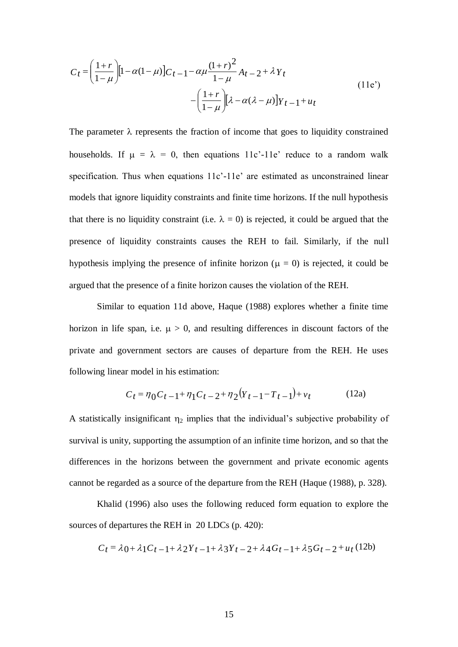$$
C_{t} = \left(\frac{1+r}{1-\mu}\right)[1-\alpha(1-\mu)]C_{t-1} - \alpha\mu\frac{(1+r)^{2}}{1-\mu}A_{t-2} + \lambda\gamma_{t}
$$
  
 
$$
-\left(\frac{1+r}{1-\mu}\right)[\lambda - \alpha(\lambda-\mu)]\gamma_{t-1} + u_{t}
$$
(11e')

The parameter  $\lambda$  represents the fraction of income that goes to liquidity constrained households. If  $\mu = \lambda = 0$ , then equations 11c'-11e' reduce to a random walk specification. Thus when equations 11c'-11e' are estimated as unconstrained linear models that ignore liquidity constraints and finite time horizons. If the null hypothesis that there is no liquidity constraint (i.e.  $\lambda = 0$ ) is rejected, it could be argued that the presence of liquidity constraints causes the REH to fail. Similarly, if the null hypothesis implying the presence of infinite horizon ( $\mu = 0$ ) is rejected, it could be argued that the presence of a finite horizon causes the violation of the REH.

Similar to equation 11d above, Haque (1988) explores whether a finite time horizon in life span, i.e.  $\mu > 0$ , and resulting differences in discount factors of the private and government sectors are causes of departure from the REH. He uses following linear model in his estimation:

$$
C_t = \eta_0 C_{t-1} + \eta_1 C_{t-2} + \eta_2 (Y_{t-1} - T_{t-1}) + v_t
$$
 (12a)

A statistically insignificant  $\eta_2$  implies that the individual's subjective probability of survival is unity, supporting the assumption of an infinite time horizon, and so that the differences in the horizons between the government and private economic agents cannot be regarded as a source of the departure from the REH (Haque (1988), p. 328).

Khalid (1996) also uses the following reduced form equation to explore the sources of departures the REH in 20 LDCs (p. 420):

$$
C_t = \lambda_0 + \lambda_1 C_{t-1} + \lambda_2 Y_{t-1} + \lambda_3 Y_{t-2} + \lambda_4 G_{t-1} + \lambda_5 G_{t-2} + u_t (12b)
$$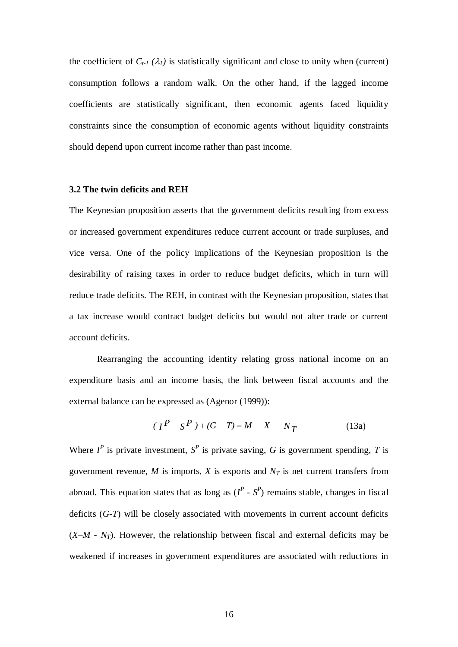the coefficient of  $C_{t-1}(\lambda_l)$  is statistically significant and close to unity when (current) consumption follows a random walk. On the other hand, if the lagged income coefficients are statistically significant, then economic agents faced liquidity constraints since the consumption of economic agents without liquidity constraints should depend upon current income rather than past income.

# **3.2 The twin deficits and REH**

The Keynesian proposition asserts that the government deficits resulting from excess or increased government expenditures reduce current account or trade surpluses, and vice versa. One of the policy implications of the Keynesian proposition is the desirability of raising taxes in order to reduce budget deficits, which in turn will reduce trade deficits. The REH, in contrast with the Keynesian proposition, states that a tax increase would contract budget deficits but would not alter trade or current account deficits.

Rearranging the accounting identity relating gross national income on an expenditure basis and an income basis, the link between fiscal accounts and the external balance can be expressed as (Agenor (1999)):

$$
(IP - SP) + (G – T) = M – X – NT
$$
 (13a)

Where  $I^P$  is private investment,  $S^P$  is private saving, G is government spending, T is government revenue,  $M$  is imports,  $X$  is exports and  $N_T$  is net current transfers from abroad. This equation states that as long as  $(I^P \cdot S^P)$  remains stable, changes in fiscal deficits (*G-T*) will be closely associated with movements in current account deficits  $(X-M - N_T)$ . However, the relationship between fiscal and external deficits may be weakened if increases in government expenditures are associated with reductions in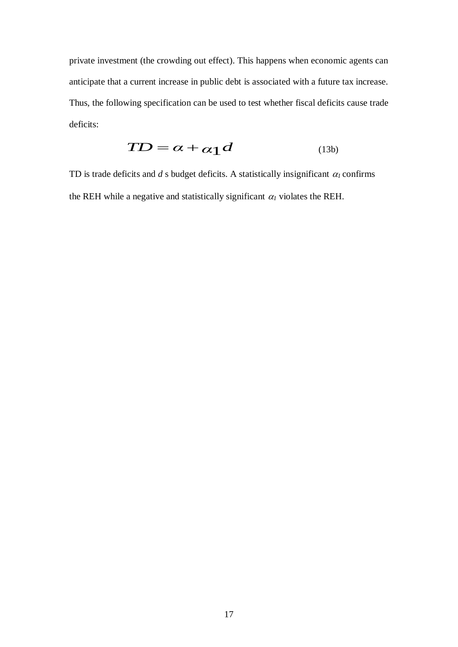private investment (the crowding out effect). This happens when economic agents can anticipate that a current increase in public debt is associated with a future tax increase. Thus, the following specification can be used to test whether fiscal deficits cause trade deficits:

$$
TD = \alpha + \alpha_1 d \tag{13b}
$$

TD is trade deficits and *d* s budget deficits. A statistically insignificant  $\alpha_l$  confirms the REH while a negative and statistically significant  $\alpha_l$  violates the REH.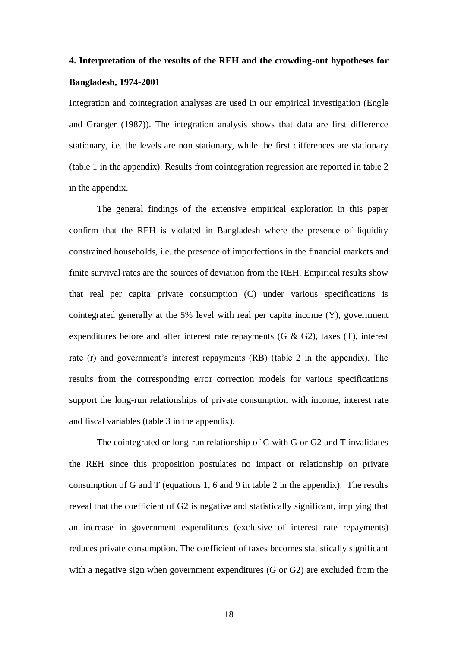# **4. Interpretation of the results of the REH and the crowding-out hypotheses for Bangladesh, 1974-2001**

Integration and cointegration analyses are used in our empirical investigation (Engle and Granger (1987)). The integration analysis shows that data are first difference stationary, i.e. the levels are non stationary, while the first differences are stationary (table 1 in the appendix). Results from cointegration regression are reported in table 2 in the appendix.

The general findings of the extensive empirical exploration in this paper confirm that the REH is violated in Bangladesh where the presence of liquidity constrained households, i.e. the presence of imperfections in the financial markets and finite survival rates are the sources of deviation from the REH. Empirical results show that real per capita private consumption (C) under various specifications is cointegrated generally at the 5% level with real per capita income (Y), government expenditures before and after interest rate repayments (G  $\&$  G2), taxes (T), interest rate (r) and government's interest repayments (RB) (table 2 in the appendix). The results from the corresponding error correction models for various specifications support the long-run relationships of private consumption with income, interest rate and fiscal variables (table 3 in the appendix).

The cointegrated or long-run relationship of C with G or G2 and T invalidates the REH since this proposition postulates no impact or relationship on private consumption of G and T (equations 1, 6 and 9 in table 2 in the appendix). The results reveal that the coefficient of G2 is negative and statistically significant, implying that an increase in government expenditures (exclusive of interest rate repayments) reduces private consumption. The coefficient of taxes becomes statistically significant with a negative sign when government expenditures (G or G2) are excluded from the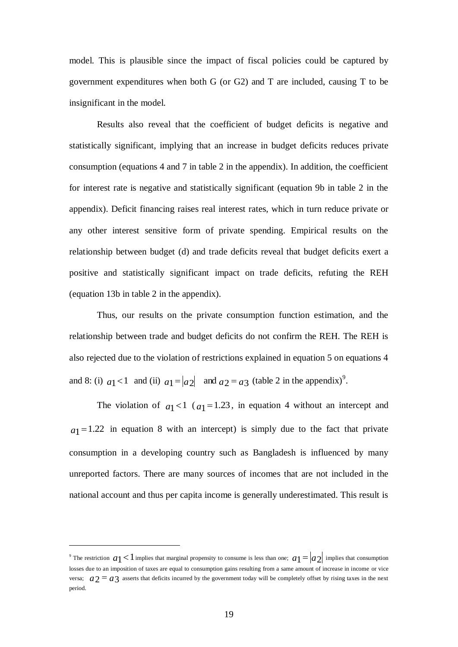model. This is plausible since the impact of fiscal policies could be captured by government expenditures when both G (or G2) and T are included, causing T to be insignificant in the model.

Results also reveal that the coefficient of budget deficits is negative and statistically significant, implying that an increase in budget deficits reduces private consumption (equations 4 and 7 in table 2 in the appendix). In addition, the coefficient for interest rate is negative and statistically significant (equation 9b in table 2 in the appendix). Deficit financing raises real interest rates, which in turn reduce private or any other interest sensitive form of private spending. Empirical results on the relationship between budget (d) and trade deficits reveal that budget deficits exert a positive and statistically significant impact on trade deficits, refuting the REH (equation 13b in table 2 in the appendix).

Thus, our results on the private consumption function estimation, and the relationship between trade and budget deficits do not confirm the REH. The REH is also rejected due to the violation of restrictions explained in equation 5 on equations 4 and 8: (i)  $a_1 < 1$  and (ii)  $a_1 = |a_2|$  and  $a_2 = a_3$  (table 2 in the appendix)<sup>9</sup>.

The violation of  $a_1 < 1$  ( $a_1 = 1.23$ , in equation 4 without an intercept and  $a_1 = 1.22$  in equation 8 with an intercept) is simply due to the fact that private consumption in a developing country such as Bangladesh is influenced by many unreported factors. There are many sources of incomes that are not included in the national account and thus per capita income is generally underestimated. This result is

1

<sup>&</sup>lt;sup>9</sup> The restriction  $a_1 < 1$  implies that marginal propensity to consume is less than one;  $a_1 = |a_2|$  implies that consumption losses due to an imposition of taxes are equal to consumption gains resulting from a same amount of increase in income or vice versa;  $a_2 = a_3$  asserts that deficits incurred by the government today will be completely offset by rising taxes in the next period.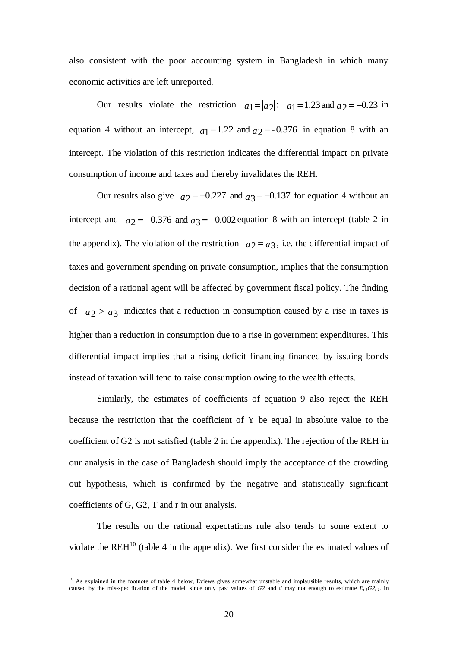also consistent with the poor accounting system in Bangladesh in which many economic activities are left unreported.

Our results violate the restriction  $a_1 = |a_2|$ :  $a_1 = 1.23$  and  $a_2 = -0.23$  in equation 4 without an intercept,  $a_1 = 1.22$  and  $a_2 = -0.376$  in equation 8 with an intercept. The violation of this restriction indicates the differential impact on private consumption of income and taxes and thereby invalidates the REH.

Our results also give  $a_2 = -0.227$  and  $a_3 = -0.137$  for equation 4 without an intercept and  $a_2 = -0.376$  and  $a_3 = -0.002$  equation 8 with an intercept (table 2 in the appendix). The violation of the restriction  $a_2 = a_3$ , i.e. the differential impact of taxes and government spending on private consumption, implies that the consumption decision of a rational agent will be affected by government fiscal policy. The finding of  $|a_2| > |a_3|$  indicates that a reduction in consumption caused by a rise in taxes is higher than a reduction in consumption due to a rise in government expenditures. This differential impact implies that a rising deficit financing financed by issuing bonds instead of taxation will tend to raise consumption owing to the wealth effects.

Similarly, the estimates of coefficients of equation 9 also reject the REH because the restriction that the coefficient of Y be equal in absolute value to the coefficient of G2 is not satisfied (table 2 in the appendix). The rejection of the REH in our analysis in the case of Bangladesh should imply the acceptance of the crowding out hypothesis, which is confirmed by the negative and statistically significant coefficients of G, G2, T and r in our analysis.

The results on the rational expectations rule also tends to some extent to violate the REH $^{10}$  (table 4 in the appendix). We first consider the estimated values of

1

 $10$  As explained in the footnote of table 4 below, Eviews gives somewhat unstable and implausible results, which are mainly caused by the mis-specification of the model, since only past values of *G2* and *d* may not enough to estimate *Et-1G2t-1*. In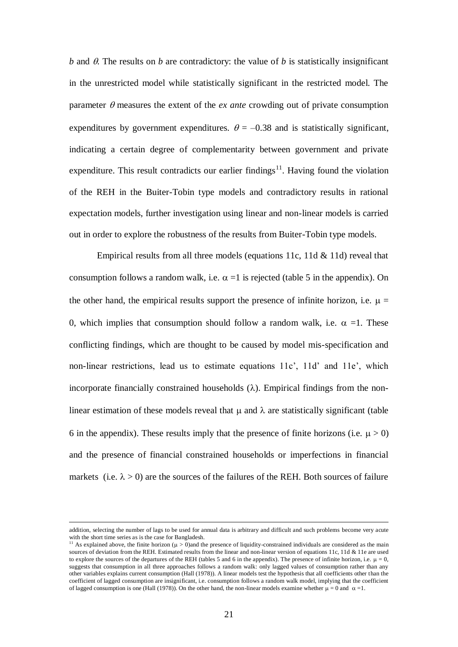$b$  and  $\theta$ . The results on  $b$  are contradictory: the value of  $b$  is statistically insignificant in the unrestricted model while statistically significant in the restricted model. The parameter  $\theta$  measures the extent of the *ex ante* crowding out of private consumption expenditures by government expenditures.  $\theta = -0.38$  and is statistically significant, indicating a certain degree of complementarity between government and private expenditure. This result contradicts our earlier findings<sup>11</sup>. Having found the violation of the REH in the Buiter-Tobin type models and contradictory results in rational expectation models, further investigation using linear and non-linear models is carried out in order to explore the robustness of the results from Buiter-Tobin type models.

Empirical results from all three models (equations 11c, 11d & 11d) reveal that consumption follows a random walk, i.e.  $\alpha =1$  is rejected (table 5 in the appendix). On the other hand, the empirical results support the presence of infinite horizon, i.e.  $\mu =$ 0, which implies that consumption should follow a random walk, i.e.  $\alpha =1$ . These conflicting findings, which are thought to be caused by model mis-specification and non-linear restrictions, lead us to estimate equations 11c', 11d' and 11e', which incorporate financially constrained households  $(\lambda)$ . Empirical findings from the nonlinear estimation of these models reveal that  $\mu$  and  $\lambda$  are statistically significant (table 6 in the appendix). These results imply that the presence of finite horizons (i.e.  $\mu > 0$ ) and the presence of financial constrained households or imperfections in financial markets (i.e.  $\lambda > 0$ ) are the sources of the failures of the REH. Both sources of failure

<u>.</u>

addition, selecting the number of lags to be used for annual data is arbitrary and difficult and such problems become very acute with the short time series as is the case for Bangladesh.

<sup>&</sup>lt;sup>11</sup> As explained above, the finite horizon  $(\mu > 0)$  and the presence of liquidity-constrained individuals are considered as the main sources of deviation from the REH. Estimated results from the linear and non-linear version of equations 11c, 11d & 11e are used to explore the sources of the departures of the REH (tables 5 and 6 in the appendix). The presence of infinite horizon, i.e.  $\mu = 0$ , suggests that consumption in all three approaches follows a random walk: only lagged values of consumption rather than any other variables explains current consumption (Hall (1978)). A linear models test the hypothesis that all coefficients other than the coefficient of lagged consumption are insignificant, i.e. consumption follows a random walk model, implying that the coefficient of lagged consumption is one (Hall (1978)). On the other hand, the non-linear models examine whether  $\mu = 0$  and  $\alpha = 1$ .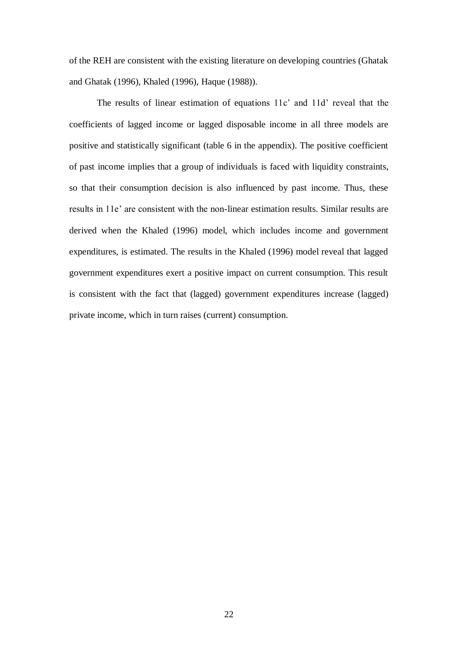of the REH are consistent with the existing literature on developing countries (Ghatak and Ghatak (1996), Khaled (1996), Haque (1988)).

The results of linear estimation of equations 11c' and 11d' reveal that the coefficients of lagged income or lagged disposable income in all three models are positive and statistically significant (table 6 in the appendix). The positive coefficient of past income implies that a group of individuals is faced with liquidity constraints, so that their consumption decision is also influenced by past income. Thus, these results in 11e' are consistent with the non-linear estimation results. Similar results are derived when the Khaled (1996) model, which includes income and government expenditures, is estimated. The results in the Khaled (1996) model reveal that lagged government expenditures exert a positive impact on current consumption. This result is consistent with the fact that (lagged) government expenditures increase (lagged) private income, which in turn raises (current) consumption.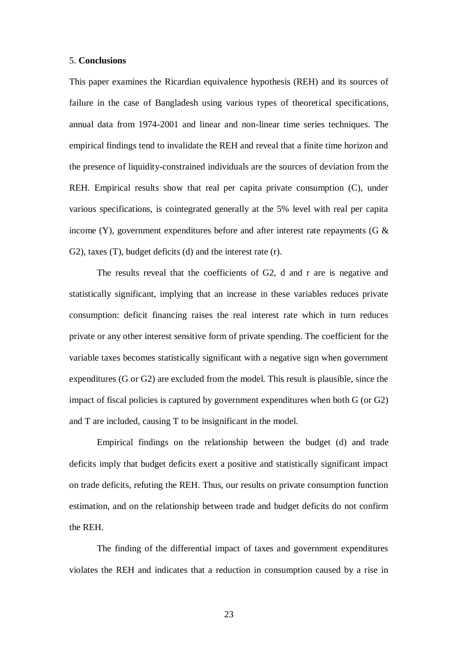#### 5. **Conclusions**

This paper examines the Ricardian equivalence hypothesis (REH) and its sources of failure in the case of Bangladesh using various types of theoretical specifications, annual data from 1974-2001 and linear and non-linear time series techniques. The empirical findings tend to invalidate the REH and reveal that a finite time horizon and the presence of liquidity-constrained individuals are the sources of deviation from the REH. Empirical results show that real per capita private consumption (C), under various specifications, is cointegrated generally at the 5% level with real per capita income (Y), government expenditures before and after interest rate repayments (G  $\&$ G2), taxes (T), budget deficits (d) and the interest rate (r).

The results reveal that the coefficients of G2, d and r are is negative and statistically significant, implying that an increase in these variables reduces private consumption: deficit financing raises the real interest rate which in turn reduces private or any other interest sensitive form of private spending. The coefficient for the variable taxes becomes statistically significant with a negative sign when government expenditures (G or G2) are excluded from the model. This result is plausible, since the impact of fiscal policies is captured by government expenditures when both G (or G2) and T are included, causing T to be insignificant in the model.

Empirical findings on the relationship between the budget (d) and trade deficits imply that budget deficits exert a positive and statistically significant impact on trade deficits, refuting the REH. Thus, our results on private consumption function estimation, and on the relationship between trade and budget deficits do not confirm the REH.

The finding of the differential impact of taxes and government expenditures violates the REH and indicates that a reduction in consumption caused by a rise in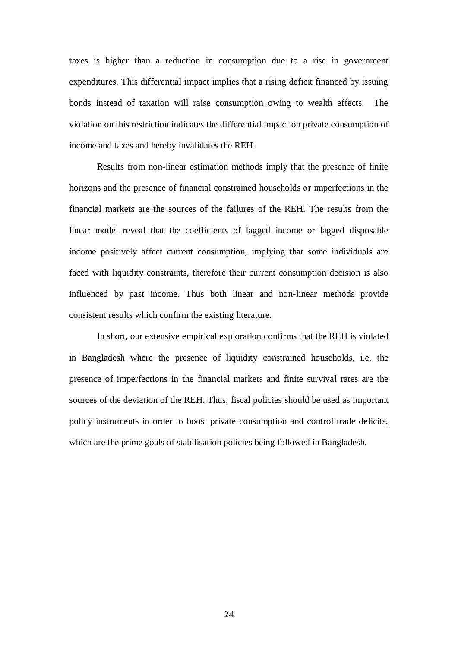taxes is higher than a reduction in consumption due to a rise in government expenditures. This differential impact implies that a rising deficit financed by issuing bonds instead of taxation will raise consumption owing to wealth effects. The violation on this restriction indicates the differential impact on private consumption of income and taxes and hereby invalidates the REH.

Results from non-linear estimation methods imply that the presence of finite horizons and the presence of financial constrained households or imperfections in the financial markets are the sources of the failures of the REH. The results from the linear model reveal that the coefficients of lagged income or lagged disposable income positively affect current consumption, implying that some individuals are faced with liquidity constraints, therefore their current consumption decision is also influenced by past income. Thus both linear and non-linear methods provide consistent results which confirm the existing literature.

In short, our extensive empirical exploration confirms that the REH is violated in Bangladesh where the presence of liquidity constrained households, i.e. the presence of imperfections in the financial markets and finite survival rates are the sources of the deviation of the REH. Thus, fiscal policies should be used as important policy instruments in order to boost private consumption and control trade deficits, which are the prime goals of stabilisation policies being followed in Bangladesh.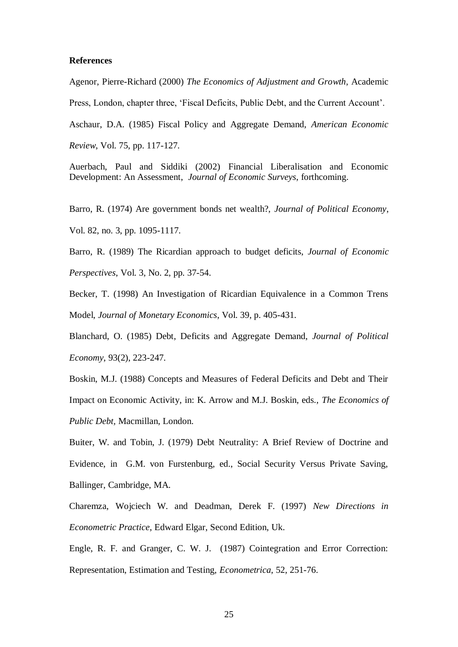## **References**

Agenor, Pierre-Richard (2000) *The Economics of Adjustment and Growth*, Academic

Press, London, chapter three, 'Fiscal Deficits, Public Debt, and the Current Account'.

Aschaur, D.A. (1985) Fiscal Policy and Aggregate Demand, *American Economic* 

*Review*, Vol. 75, pp. 117-127.

Auerbach, Paul and Siddiki (2002) Financial Liberalisation and Economic Development: An Assessment, *Journal of Economic Surveys*, forthcoming.

Barro, R. (1974) Are government bonds net wealth?, *Journal of Political Economy*, Vol. 82, no. 3, pp. 1095-1117.

Barro, R. (1989) The Ricardian approach to budget deficits, *Journal of Economic Perspectives*, Vol. 3, No. 2, pp. 37-54.

Becker, T. (1998) An Investigation of Ricardian Equivalence in a Common Trens Model, *Journal of Monetary Economics*, Vol. 39, p. 405-431.

Blanchard, O. (1985) Debt, Deficits and Aggregate Demand, *Journal of Political Economy*, 93(2), 223-247.

Boskin, M.J. (1988) Concepts and Measures of Federal Deficits and Debt and Their Impact on Economic Activity, in: K. Arrow and M.J. Boskin, eds., *The Economics of Public Debt,* Macmillan, London.

Buiter, W. and Tobin, J. (1979) Debt Neutrality: A Brief Review of Doctrine and Evidence, in G.M. von Furstenburg, ed., Social Security Versus Private Saving, Ballinger, Cambridge, MA.

Charemza, Wojciech W. and Deadman, Derek F. (1997) *New Directions in Econometric Practice*, Edward Elgar, Second Edition, Uk.

Engle, R. F. and Granger, C. W. J. (1987) Cointegration and Error Correction: Representation, Estimation and Testing, *Econometrica*, 52, 251-76.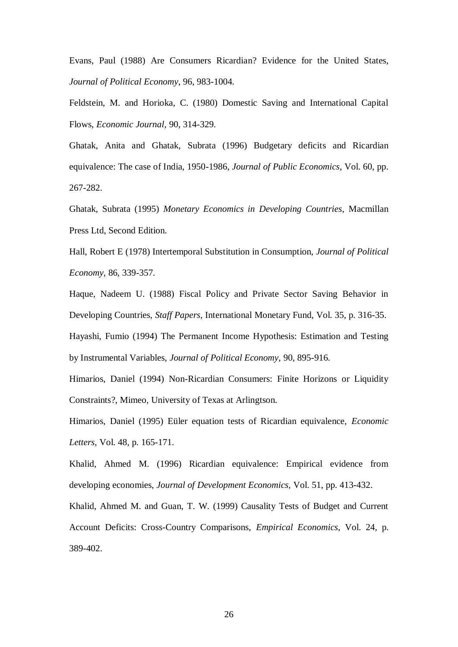Evans, Paul (1988) Are Consumers Ricardian? Evidence for the United States, *Journal of Political Economy*, 96, 983-1004.

Feldstein, M. and Horioka, C. (1980) Domestic Saving and International Capital Flows, *Economic Journal*, 90, 314-329.

Ghatak, Anita and Ghatak, Subrata (1996) Budgetary deficits and Ricardian equivalence: The case of India, 1950-1986, *Journal of Public Economics*, Vol. 60, pp. 267-282.

Ghatak, Subrata (1995) *Monetary Economics in Developing Countries*, Macmillan Press Ltd, Second Edition.

Hall, Robert E (1978) Intertemporal Substitution in Consumption, *Journal of Political Economy*, 86, 339-357.

Haque, Nadeem U. (1988) Fiscal Policy and Private Sector Saving Behavior in Developing Countries, *Staff Papers,* International Monetary Fund, Vol. 35, p. 316-35. Hayashi, Fumio (1994) The Permanent Income Hypothesis: Estimation and Testing by Instrumental Variables, *Journal of Political Economy*, 90, 895-916.

Himarios, Daniel (1994) Non-Ricardian Consumers: Finite Horizons or Liquidity Constraints?, Mimeo, University of Texas at Arlingtson.

Himarios, Daniel (1995) Eüler equation tests of Ricardian equivalence, *Economic Letters*, Vol. 48, p. 165-171.

Khalid, Ahmed M. (1996) Ricardian equivalence: Empirical evidence from developing economies, *Journal of Development Economics,* Vol. 51, pp. 413-432.

Khalid, Ahmed M. and Guan, T. W. (1999) Causality Tests of Budget and Current Account Deficits: Cross-Country Comparisons, *Empirical Economics*, Vol. 24, p. 389-402.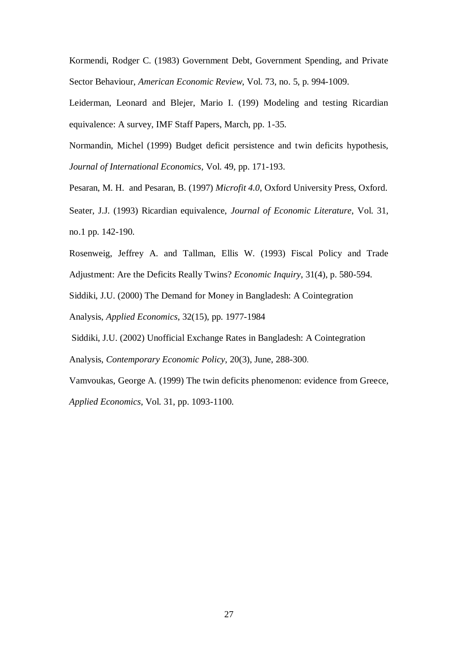Kormendi, Rodger C. (1983) Government Debt, Government Spending, and Private Sector Behaviour, *American Economic Review*, Vol. 73, no. 5, p. 994-1009.

Leiderman, Leonard and Blejer, Mario I. (199) Modeling and testing Ricardian equivalence: A survey, IMF Staff Papers, March, pp. 1-35.

Normandin, Michel (1999) Budget deficit persistence and twin deficits hypothesis, *Journal of International Economics*, Vol. 49, pp. 171-193.

Pesaran, M. H. and Pesaran, B. (1997) *Microfit 4.0*, Oxford University Press, Oxford.

Seater, J.J. (1993) Ricardian equivalence, *Journal of Economic Literature*, Vol. 31, no.1 pp. 142-190.

Rosenweig, Jeffrey A. and Tallman, Ellis W. (1993) Fiscal Policy and Trade

Adjustment: Are the Deficits Really Twins? *Economic Inquiry*, 31(4), p. 580-594.

Siddiki, J.U. (2000) The Demand for Money in Bangladesh: A Cointegration

Analysis, *Applied Economics*, 32(15), pp. 1977-1984

Siddiki, J.U. (2002) Unofficial Exchange Rates in Bangladesh: A Cointegration

Analysis, *Contemporary Economic Policy*, 20(3), June, 288-300.

Vamvoukas, George A. (1999) The twin deficits phenomenon: evidence from Greece,

*Applied Economics*, Vol. 31, pp. 1093-1100.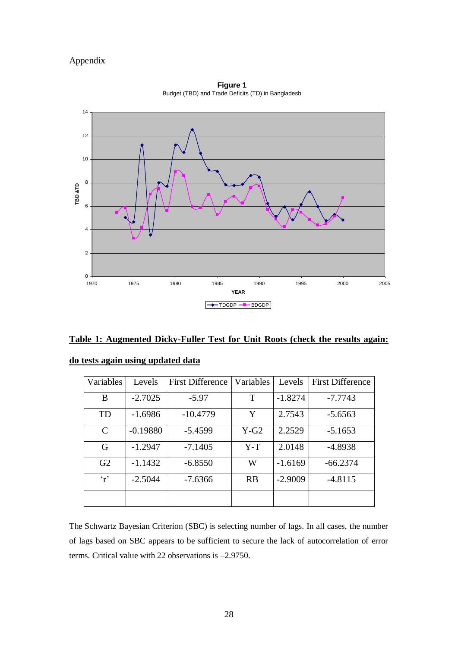# Appendix



**Figure 1**  Budget (TBD) and Trade Deficits (TD) in Bangladesh

|  |  |  | Table 1: Augmented Dicky-Fuller Test for Unit Roots (check the results again: |
|--|--|--|-------------------------------------------------------------------------------|
|  |  |  |                                                                               |

| Variables      | Levels     | <b>First Difference</b> | Variables | Levels    | <b>First Difference</b> |
|----------------|------------|-------------------------|-----------|-----------|-------------------------|
| B              | $-2.7025$  | $-5.97$                 | T         | $-1.8274$ | $-7.7743$               |
| TD             | $-1.6986$  | $-10.4779$              | Y         | 2.7543    | $-5.6563$               |
| $\mathcal{C}$  | $-0.19880$ | $-5.4599$               | $Y-G2$    | 2.2529    | $-5.1653$               |
| G              | $-1.2947$  | $-7.1405$               | $Y-T$     | 2.0148    | $-4.8938$               |
| G <sub>2</sub> | $-1.1432$  | $-6.8550$               | W         | $-1.6169$ | $-66.2374$              |
| $\mathbf{r}$   | $-2.5044$  | $-7.6366$               | RB        | $-2.9009$ | $-4.8115$               |
|                |            |                         |           |           |                         |

|  |  | do tests again using updated data |  |
|--|--|-----------------------------------|--|
|  |  |                                   |  |

The Schwartz Bayesian Criterion (SBC) is selecting number of lags. In all cases, the number of lags based on SBC appears to be sufficient to secure the lack of autocorrelation of error terms. Critical value with 22 observations is –2.9750.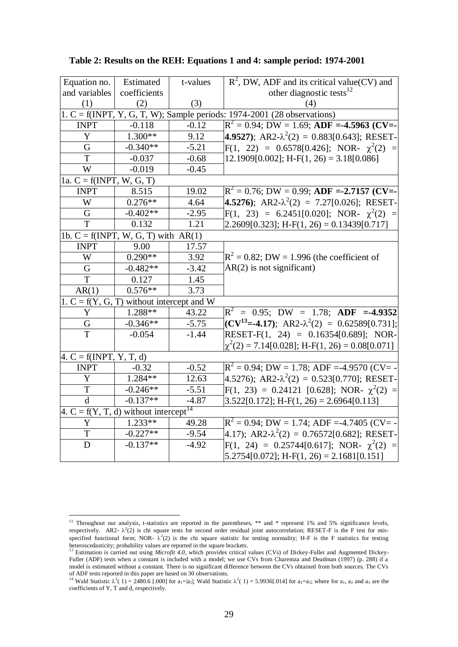| Equation no.                                        | Estimated                                   | t-values | $R^2$ , DW, ADF and its critical value(CV) and                            |
|-----------------------------------------------------|---------------------------------------------|----------|---------------------------------------------------------------------------|
| and variables                                       | coefficients                                |          | other diagnostic tests <sup>12</sup>                                      |
| (1)                                                 | (2)                                         | (3)      | (4)                                                                       |
|                                                     |                                             |          | 1. C = f(INPT, Y, G, T, W); Sample periods: $1974-2001$ (28 observations) |
| <b>INPT</b>                                         | $-0.118$                                    | $-0.12$  | $\rm R^2$ = 0.94; DW = 1.69; ADF =-4.5963 (CV=-                           |
| Y                                                   | $1.300**$                                   | 9.12     | <b>4.9527</b> ); AR2- $\lambda^2(2) = 0.883[0.643]$ ; RESET-              |
| G                                                   | $-0.340**$                                  | $-5.21$  | $F(1, 22) = 0.6578[0.426]$ ; NOR- $\chi^2(2) =$                           |
| T                                                   | $-0.037$                                    | $-0.68$  | $12.1909[0.002]$ ; H-F(1, 26) = 3.18[0.086]                               |
| W                                                   | $-0.019$                                    | $-0.45$  |                                                                           |
| 1a. $C = f(INPT, W, G, T)$                          |                                             |          |                                                                           |
| <b>INPT</b>                                         | 8.515                                       | 19.02    | $R^2 = 0.76$ ; DW = 0.99; ADF = -2.7157 (CV=-                             |
| W                                                   | $0.276**$                                   | 4.64     | <b>4.5276</b> ); AR2- $\lambda^2(2) = 7.27[0.026]$ ; RESET-               |
| G                                                   | $-0.402**$                                  | $-2.95$  | $F(1, 23) = 6.2451[0.020]$ ; NOR- $\chi^2(2) =$                           |
| T                                                   | 0.132                                       | 1.21     | $[2.2609[0.323];$ H-F(1, 26) = 0.13439[0.717]                             |
|                                                     | 1b. $C = f(INPT, W, G, T)$ with $AR(1)$     |          |                                                                           |
| <b>INPT</b>                                         | 9.00                                        | 17.57    |                                                                           |
| W                                                   | $0.290**$                                   | 3.92     | $R^2$ = 0.82; DW = 1.996 (the coefficient of                              |
| G                                                   | $-0.482**$                                  | $-3.42$  | $AR(2)$ is not significant)                                               |
| T                                                   | 0.127                                       | 1.45     |                                                                           |
| AR(1)                                               | $0.576**$                                   | 3.73     |                                                                           |
|                                                     | 1. $C = f(Y, G, T)$ without intercept and W |          |                                                                           |
| Y                                                   | 1.288**                                     | 43.22    | $R^2 = 0.95$ ; DW = 1.78; ADF =-4.9352                                    |
| G                                                   | $-0.346**$                                  | $-5.75$  | $(CV^{13} = -4.17)$ ; AR2- $\lambda^2(2) = 0.62589[0.731]$ ;              |
| $\overline{T}$                                      | $-0.054$                                    | $-1.44$  | RESET-F(1, 24) = $0.16354[0.689]$ ; NOR-                                  |
|                                                     |                                             |          | $\chi^2(2) = 7.14[0.028]$ ; H-F(1, 26) = 0.08[0.071]                      |
| $4. C = f(INPT, Y, T, d)$                           |                                             |          |                                                                           |
| <b>INPT</b>                                         | $-0.32$                                     | $-0.52$  | $R^2 = 0.94$ ; DW = 1.78; ADF = -4.9570 (CV = -                           |
| $\mathbf Y$                                         | 1.284**                                     | 12.63    | $4.5276$ ; AR2- $\lambda^2(2) = 0.523[0.770]$ ; RESET-                    |
| $\overline{T}$                                      | $-0.246**$                                  | $-5.51$  | $F(1, 23) = 0.24121$ [0.628]; NOR- $\chi^2(2) =$                          |
| $\mathbf{d}$                                        | $-0.137**$                                  | $-4.87$  | $3.522[0.172]$ ; H-F(1, 26) = 2.6964[0.113]                               |
| 4. $C = f(Y, T, d)$ without intercept <sup>14</sup> |                                             |          |                                                                           |
| Y                                                   | $1.233**$                                   | 49.28    | $R^2 = 0.94$ ; DW = 1.74; ADF = -4.7405 (CV = -                           |
| $\mathbf T$                                         | $-0.227**$                                  | $-9.54$  | 4.17); AR2- $\lambda^2(2) = 0.76572[0.682]$ ; RESET-                      |
| $\mathbf D$                                         | $-0.137**$                                  | $-4.92$  | $F(1, 24) = 0.25744[0.617]$ ; NOR- $\chi^2(2) =$                          |
|                                                     |                                             |          | $5.2754[0.072]$ ; H-F(1, 26) = 2.1681[0.151]                              |

**Table 2: Results on the REH: Equations 1 and 4: sample period: 1974-2001** 

1

<sup>&</sup>lt;sup>12</sup> Throughout our analysis, t-statistics are reported in the parentheses,  $**$  and  $*$  represent 1% and 5% significance levels, respectively. AR2- $\lambda^2(2)$  is chi square tests for second order residual joint autocorrelation; RESET-F is the F test for misspecified functional form; NOR- $\lambda^2(2)$  is the chi square statistic for testing normality; H-F is the F statistics for testing heteroscedasticity; probability values are reported in the square brackets. <sup>13</sup> Estimation is carried out using *Microfit 4.0*, which provides critical values (CVs) of Dickey-Fuller and Augmented Dickey-

Fuller (ADF) tests when a constant is included with a model; we use CVs from Charemza and Deadman (1997) (p. 288) if a model is estimated without a constant. There is no significant difference between the CVs obtained from both sources. The CVs of ADF tests reported in this paper are based on 30 observations.

<sup>&</sup>lt;sup>14</sup> Wald Statistic  $\lambda^2(1) = 2480.6$  [.000] for a<sub>1</sub>=|a<sub>2</sub>|; Wald Statistic  $\lambda^2(1) = 5.9936$ [.014] for a<sub>2</sub>=a<sub>3</sub>; where for a<sub>1</sub>, a<sub>2</sub> and a<sub>3</sub> are the coefficients of Y, T and d, respectively.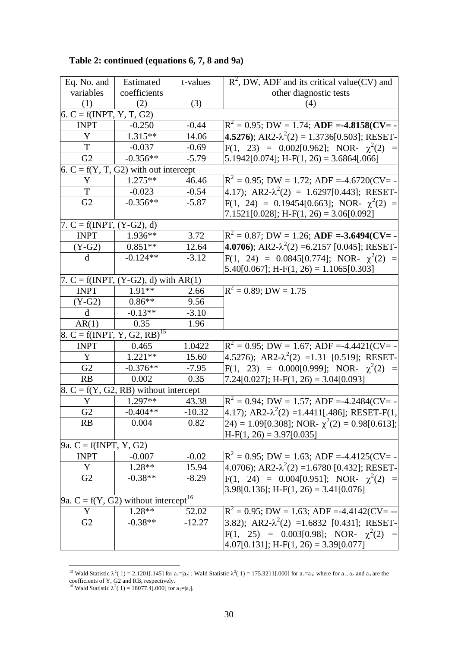| Table 2: continued (equations 6, 7, 8 and 9a) |  |  |  |  |  |  |  |
|-----------------------------------------------|--|--|--|--|--|--|--|
|-----------------------------------------------|--|--|--|--|--|--|--|

| Eq. No. and                                | Estimated                                          | t-values | $R^2$ , DW, ADF and its critical value(CV) and                |
|--------------------------------------------|----------------------------------------------------|----------|---------------------------------------------------------------|
| variables                                  | coefficients                                       |          | other diagnostic tests                                        |
| (1)                                        | (2)                                                | (3)      | (4)                                                           |
| 6. C = $f(INT, Y, T, G2)$                  |                                                    |          |                                                               |
| <b>INPT</b>                                | $-0.250$                                           | $-0.44$  | $R^2 = 0.95$ ; DW = 1.74; ADF = -4.8158(CV= -                 |
| Y                                          | 1.315**                                            | 14.06    | <b>4.5276</b> ); AR2- $\lambda^2(2) = 1.3736[0.503]$ ; RESET- |
| T                                          | $-0.037$                                           | $-0.69$  | $F(1, 23) = 0.002[0.962]$ ; NOR- $\chi^2(2) =$                |
| G2                                         | $-0.356**$                                         | $-5.79$  | $5.1942[0.074]$ ; H-F(1, 26) = 3.6864[.066]                   |
|                                            | 6. $C = f(Y, T, G2)$ with out intercept            |          |                                                               |
| Y                                          | $1.275**$                                          | 46.46    | $R^2 = 0.95$ ; DW = 1.72; ADF =-4.6720(CV= -                  |
| $\mathbf T$                                | $-0.023$                                           | $-0.54$  | 4.17); $AR2-\lambda^2(2) = 1.6297[0.443]$ ; RESET-            |
| G <sub>2</sub>                             | $-0.356**$                                         | $-5.87$  | $F(1, 24) = 0.19454[0.663]$ ; NOR- $\chi^2(2) =$              |
|                                            |                                                    |          | $7.1521[0.028]$ ; H-F(1, 26) = 3.06[0.092]                    |
| 7. $C = f(INT, (Y-G2), d)$                 |                                                    |          |                                                               |
| <b>INPT</b>                                | 1.936**                                            | 3.72     | $R^2 = 0.87$ ; DW = 1.26; ADF = -3.6494(CV= -                 |
| $(Y-G2)$                                   | $0.851**$                                          | 12.64    | 4.0706); AR2- $\lambda^2(2)$ =6.2157 [0.045]; RESET-          |
| d                                          | $-0.124**$                                         | $-3.12$  | $F(1, 24) = 0.0845[0.774]$ ; NOR- $\chi^2(2) =$               |
|                                            |                                                    |          | $5.40[0.067]$ ; H-F(1, 26) = 1.1065[0.303]                    |
|                                            | 7. $C = f(INT, (Y-G2), d)$ with $AR(1)$            |          |                                                               |
| <b>INPT</b>                                | 1.91**                                             | 2.66     | $\mathbf{R}^2 = 0.89; \mathbf{DW} = 1.75$                     |
| $(Y-G2)$                                   | $0.86**$                                           | 9.56     |                                                               |
| $\mathbf d$                                | $-0.13**$                                          | $-3.10$  |                                                               |
| AR(1)                                      | 0.35                                               | 1.96     |                                                               |
| 8. C = f(INPT, Y, $\overline{G2, RB}^{15}$ |                                                    |          |                                                               |
| <b>INPT</b>                                | 0.465                                              | 1.0422   | $R^2 = 0.95$ ; DW = 1.67; ADF =-4.4421(CV= -                  |
| Y                                          | $1.221**$                                          | 15.60    | 4.5276); AR2- $\lambda^2$ (2) =1.31 [0.519]; RESET-           |
| G <sub>2</sub>                             | $-0.376**$                                         | $-7.95$  | $F(1, 23) = 0.000[0.999]$ ; NOR- $\chi^2(2) =$                |
| RB                                         | 0.002                                              | 0.35     | 7.24 $[0.027]$ ; H-F(1, 26) = 3.04 $[0.093]$                  |
|                                            | $8. C = f(Y, G2, RB)$ without intercept            |          |                                                               |
| Y                                          | $1.297**$                                          | 43.38    | $R^2 = 0.94$ ; DW = 1.57; ADF =-4.2484(CV= -                  |
| G2                                         | $-0.404**$                                         | $-10.32$ | 4.17); AR2- $\lambda^2(2)$ =1.4411[.486]; RESET-F(1,          |
| RB.                                        | 0.004                                              | 0.82     | $ 24\rangle$ = 1.09[0.308]; NOR- $\chi^2(2)$ = 0.98[0.613];   |
|                                            |                                                    |          | $H-F(1, 26) = 3.97[0.035]$                                    |
| $[9a. C = f(INPT, Y, G2)]$                 |                                                    |          |                                                               |
| <b>INPT</b>                                | $-0.007$                                           | $-0.02$  | $R^2 = 0.95$ ; DW = 1.63; ADF =-4.4125(CV= -                  |
| Y                                          | 1.28**                                             | 15.94    | $4.0706$ ; AR2- $\lambda^2$ (2) =1.6780 [0.432]; RESET-       |
| G2                                         | $-0.38**$                                          | $-8.29$  | $F(1, 24) = 0.004[0.951]$ ; NOR- $\chi^2(2) =$                |
|                                            |                                                    |          | $3.98[0.136]$ ; H-F(1, 26) = 3.41[0.076]                      |
|                                            | 9a. C = $f(Y, G2)$ without intercept <sup>16</sup> |          |                                                               |
| Y                                          | $1.28**$                                           | 52.02    | $R^2 = 0.95$ ; DW = 1.63; ADF =-4.4142(CV= --                 |
| G2                                         | $-0.38**$                                          | $-12.27$ | 3.82); AR2- $\lambda^2$ (2) =1.6832 [0.431]; RESET-           |
|                                            |                                                    |          | $F(1, 25) = 0.003[0.98]$ ; NOR- $\chi^2(2) =$                 |
|                                            |                                                    |          | $4.07[0.131]$ ; H-F(1, 26) = 3.39[0.077]                      |

<sup>&</sup>lt;sup>15</sup> Wald Statistic  $\lambda^2$  (1) = 2.1201[.145] for a<sub>1</sub>=|a<sub>2</sub>|; Wald Statistic  $\lambda^2$  (1) = 175.3211[.000] for a<sub>2</sub>=a<sub>3</sub>; where for a<sub>1</sub>, a<sub>2</sub> and a<sub>3</sub> are the coefficients of Y, G2 and RB, respectively.

1

<sup>&</sup>lt;sup>16</sup> Wald Statistic  $\lambda^2(1) = 18077.4[.000]$  for a<sub>1</sub>=|a<sub>2</sub>|.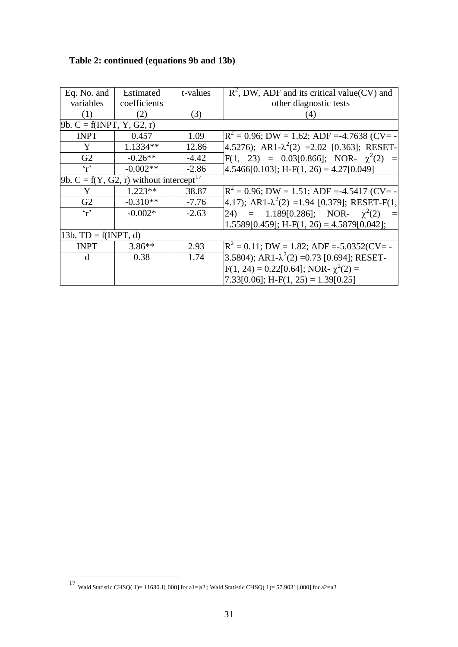| Eq. No. and                                           | Estimated    | t-values | $R^2$ , DW, ADF and its critical value(CV) and           |
|-------------------------------------------------------|--------------|----------|----------------------------------------------------------|
| variables                                             | coefficients |          | other diagnostic tests                                   |
| (1)                                                   | (2)          | (3)      | 4)                                                       |
| $9b. C = f(INPT, Y, G2, r)$                           |              |          |                                                          |
| <b>INPT</b>                                           | 0.457        | 1.09     | $\mathbb{R}^2$ = 0.96; DW = 1.62; ADF =-4.7638 (CV= -    |
| Y                                                     | 1.1334**     | 12.86    | 4.5276); AR1- $\lambda^2$ (2) = 2.02 [0.363]; RESET-     |
| G2                                                    | $-0.26**$    | $-4.42$  | $F(1, 23) = 0.03[0.866]$ ; NOR- $\chi^2(2) =$            |
| $\mathbf{r}$                                          | $-0.002**$   | $-2.86$  | $4.5466[0.103]$ ; H-F(1, 26) = 4.27[0.049]               |
| 9b. $C = f(Y, G2, r)$ without intercept <sup>17</sup> |              |          |                                                          |
| Y                                                     | $1.223**$    | 38.87    | $\mathbb{R}^2$ = 0.96; DW = 1.51; ADF =-4.5417 (CV= -    |
| G2                                                    | $-0.310**$   | $-7.76$  | $(4.17)$ ; AR1- $\lambda^2(2)$ =1.94 [0.379]; RESET-F(1, |
| $\mathbf{r}$                                          | $-0.002*$    | $-2.63$  | 24) = 1.189[0.286]; NOR- $\chi^2(2)$                     |
|                                                       |              |          | $1.5589[0.459]$ ; H-F(1, 26) = 4.5879[0.042];            |
| 13b. $TD = f(INPT, d)$                                |              |          |                                                          |
| <b>INPT</b>                                           | $3.86**$     | 2.93     | $\mathbb{R}^2$ = 0.11; DW = 1.82; ADF =-5.0352(CV= -     |
| d                                                     | 0.38         | 1.74     | 3.5804); AR1- $\lambda^2$ (2) = 0.73 [0.694]; RESET-     |
|                                                       |              |          | $F(1, 24) = 0.22[0.64]$ ; NOR- $\chi^2(2) =$             |
|                                                       |              |          | $7.33[0.06]$ ; H-F(1, 25) = 1.39[0.25]                   |

 17 Wald Statistic CHSQ( 1)= 11680.1[.000] for a1=|a2|; Wald Statistic CHSQ( 1)= 57.9031[.000] for a2=a3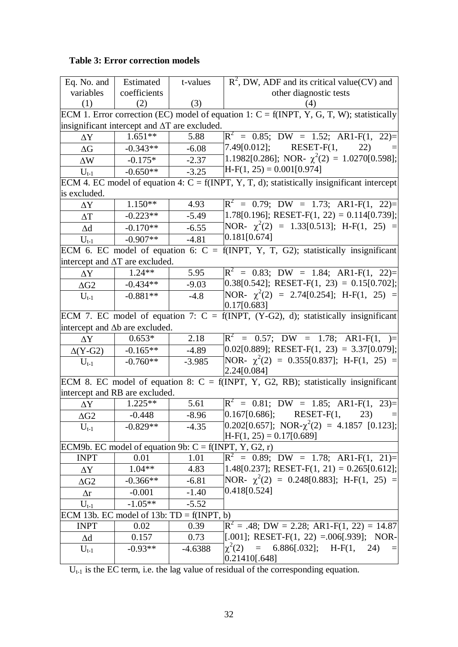# **Table 3: Error correction models**

| Eq. No. and                                             | Estimated    | t-values  | $R^2$ , DW, ADF and its critical value(CV) and                                                |
|---------------------------------------------------------|--------------|-----------|-----------------------------------------------------------------------------------------------|
| variables                                               | coefficients |           | other diagnostic tests                                                                        |
| (1)                                                     | (2)          | (3)       |                                                                                               |
|                                                         |              |           | ECM 1. Error correction (EC) model of equation 1: $C = f(INT, Y, G, T, W)$ ; statistically    |
| insignificant intercept and $\Delta T$ are excluded.    |              |           |                                                                                               |
| $\Delta \rm{Y}$                                         | $1.651**$    | 5.88      | $\vert R^2 = 0.85; \text{ DW} = 1.52; \text{ A}R1-F(1, 22)=\vert$                             |
| $\Delta G$                                              | $-0.343**$   | $-6.08$   | $[7.49[0.012];$ RESET-F(1,<br>22)                                                             |
| $\Delta W$                                              | $-0.175*$    | $-2.37$   | 1.1982[0.286]; NOR- $\chi^2(2) = 1.0270[0.598]$ ;                                             |
| $U_{t-1}$                                               | $-0.650**$   | $-3.25$   | $H-F(1, 25) = 0.001[0.974]$                                                                   |
|                                                         |              |           | ECM 4. EC model of equation 4: $C = f(INPT, Y, T, d)$ ; statistically insignificant intercept |
| is excluded.                                            |              |           |                                                                                               |
| $\Delta Y$                                              | $1.150**$    | 4.93      | $\vert R^2 = 0.79; \text{ DW} = 1.73; \text{ A}R1-F(1, 22)=\vert$                             |
| $\Delta T$                                              | $-0.223**$   | $-5.49$   | $(1.78[0.196];$ RESET-F(1, 22) = 0.114[0.739];                                                |
| $\Delta d$                                              | $-0.170**$   | $-6.55$   | NOR- $\chi^2(2) = 1.33[0.513]$ ; H-F(1, 25) =                                                 |
| $U_{t-1}$                                               | $-0.907**$   | $-4.81$   | 0.181[0.674]                                                                                  |
|                                                         |              |           | ECM 6. EC model of equation 6: $C = f(INPT, Y, T, G2)$ ; statistically insignificant          |
| intercept and $\Delta T$ are excluded.                  |              |           |                                                                                               |
| $\Delta Y$                                              | $1.24**$     | 5.95      | $\rm R^2 = 0.83$ ; DW = 1.84; AR1-F(1, 22)=                                                   |
| $\Delta G2$                                             | $-0.434**$   | $-9.03$   | $[0.38[0.542];$ RESET-F(1, 23) = 0.15[0.702];                                                 |
| $U_{t-1}$                                               | $-0.881**$   | $-4.8$    | NOR- $\chi^2(2) = 2.74[0.254]$ ; H-F(1, 25) =                                                 |
|                                                         |              |           | [0.17[0.683]                                                                                  |
|                                                         |              |           | ECM 7. EC model of equation 7: $C = f(INPT, (Y-G2), d)$ ; statistically insignificant         |
| intercept and $\Delta b$ are excluded.                  |              |           |                                                                                               |
| $\Delta Y$                                              | $0.653*$     | 2.18      | $\begin{array}{rcl} R^2 & = & 0.57; \text{DW} = & 1.78; \text{AR1-F(1,)} = \end{array}$       |
| $\Delta(Y-G2)$                                          | $-0.165**$   | $-4.89$   | $[0.02[0.889];$ RESET-F(1, 23) = 3.37[0.079];                                                 |
| $U_{t-1}$                                               | $-0.760**$   | $-3.985$  | NOR- $\chi^2(2) = 0.355[0.837]$ ; H-F(1, 25) =                                                |
|                                                         |              |           | 2.24[0.084]                                                                                   |
| intercept and RB are excluded.                          |              |           | ECM 8. EC model of equation 8: C = f(INPT, Y, G2, RB); statistically insignificant            |
| $\Delta Y$                                              | $1.225**$    | 5.61      | $\vert R^2 = 0.81; \text{ DW} = 1.85; \text{ A}R1-F(1, 23)=\vert$                             |
| $\Delta$ G2                                             | $-0.448$     | $-8.96$   | $[0.167]0.686$ ; RESET-F(1,<br>23)                                                            |
|                                                         | $-0.829**$   | $-4.35$   | $[0.202[0.657]; \text{ NOR-}\chi^2(2) = 4.1857 [0.123];]$                                     |
| $U_{t-1}$                                               |              |           | $H-F(1, 25) = 0.17[0.689]$                                                                    |
| ECM9b. EC model of equation 9b: $C = f(INPT, Y, G2, r)$ |              |           |                                                                                               |
| <b>INPT</b>                                             | 0.01         | 1.01      | $\vert R^2 = 0.89; \text{ DW} = 1.78; \text{ A}R1-F(1, 21)=\vert$                             |
| $\Delta Y$                                              | $1.04**$     | 4.83      | $(1.48[0.237];$ RESET-F(1, 21) = 0.265[0.612];                                                |
| $\Delta$ G2                                             | $-0.366**$   | $-6.81$   | NOR- $\chi^2(2) = 0.248[0.883]$ ; H-F(1, 25) =                                                |
| $\Delta r$                                              | $-0.001$     | $-1.40$   | 0.418[0.524]                                                                                  |
| $\mathbf{U}_{t\text{-}1}$                               | $-1.05**$    | $-5.52$   |                                                                                               |
| ECM 13b. EC model of 13b: $TD = f(INT, b)$              |              |           |                                                                                               |
| <b>INPT</b>                                             | 0.02         | 0.39      | $R^2$ = .48; DW = 2.28; AR1-F(1, 22) = 14.87                                                  |
| $\Delta d$                                              | 0.157        | 0.73      | $[0.001]$ ; RESET-F(1, 22) = 006[.939]; NOR-                                                  |
| $U_{t-1}$                                               | $-0.93**$    | $-4.6388$ | $\chi^2(2)$ = 6.886[.032]; H-F(1, 24)<br>$=$                                                  |
|                                                         |              |           | [0.21410[.648]                                                                                |

 $U_{t-1}$  is the EC term, i.e. the lag value of residual of the corresponding equation.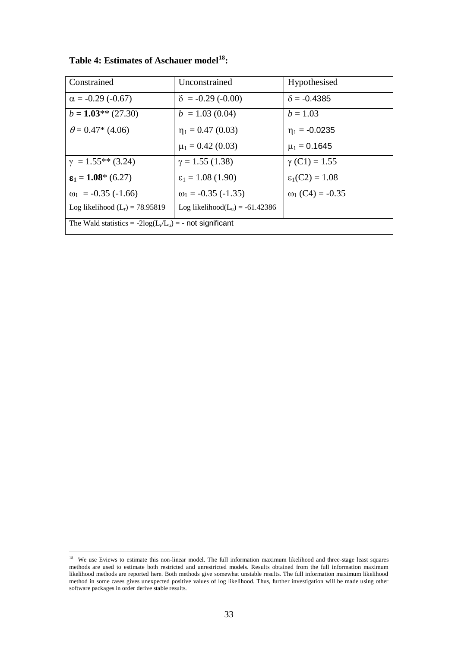| Constrained                                                | Unconstrained                      | Hypothesised               |  |  |  |
|------------------------------------------------------------|------------------------------------|----------------------------|--|--|--|
| $\alpha$ = -0.29 (-0.67)                                   | $\delta$ = -0.29 (-0.00)           | $\delta$ = -0.4385         |  |  |  |
| $b = 1.03**$ (27.30)                                       | $b = 1.03(0.04)$                   | $b = 1.03$                 |  |  |  |
| $\theta$ = 0.47* (4.06)                                    | $\eta_1 = 0.47$ (0.03)             | $\eta_1 = -0.0235$         |  |  |  |
|                                                            | $\mu_1 = 0.42$ (0.03)              | $\mu_1 = 0.1645$           |  |  |  |
| $\gamma = 1.55**$ (3.24)                                   | $\gamma = 1.55$ (1.38)             | $\gamma$ (C1) = 1.55       |  |  |  |
| $\epsilon_1 = 1.08^* (6.27)$                               | $\epsilon_1 = 1.08$ (1.90)         | $\varepsilon_1(C2) = 1.08$ |  |  |  |
| $\omega_1$ = -0.35 (-1.66)                                 | $\omega_1 = -0.35 (-1.35)$         | $\omega_1$ (C4) = -0.35    |  |  |  |
| Log likelihood $(L_r) = 78.95819$                          | Log likelihood $(L_u) = -61.42386$ |                            |  |  |  |
| The Wald statistics = $-2log(L_r/L_u)$ = - not significant |                                    |                            |  |  |  |

**Table 4: Estimates of Aschauer model<sup>18</sup>:**

 18 We use Eviews to estimate this non-linear model. The full information maximum likelihood and three-stage least squares methods are used to estimate both restricted and unrestricted models. Results obtained from the full information maximum likelihood methods are reported here. Both methods give somewhat unstable results. The full information maximum likelihood method in some cases gives unexpected positive values of log likelihood. Thus, further investigation will be made using other software packages in order derive stable results.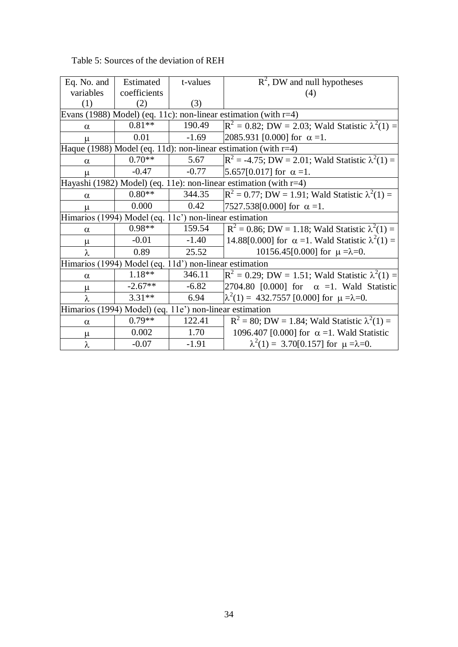| Eq. No. and                                             | Estimated    | t-values | $R^2$ , DW and null hypotheses                                     |
|---------------------------------------------------------|--------------|----------|--------------------------------------------------------------------|
| variables                                               | coefficients |          | (4)                                                                |
| (1)                                                     | (2)          | (3)      |                                                                    |
|                                                         |              |          | Evans (1988) Model) (eq. 11c): non-linear estimation (with $r=4$ ) |
| $\alpha$                                                | $0.81**$     | 190.49   | $\rm R^2 = 0.82$ ; DW = 2.03; Wald Statistic $\lambda^2(1) =$      |
| μ                                                       | 0.01         | $-1.69$  | 2085.931 [0.000] for $\alpha = 1$ .                                |
|                                                         |              |          | Haque (1988) Model (eq. 11d): non-linear estimation (with $r=4$ )  |
| $\alpha$                                                | $0.70**$     | 5.67     | $\mathbb{R}^2$ = -4.75; DW = 2.01; Wald Statistic $\lambda^2(1)$ = |
| μ                                                       | $-0.47$      | $-0.77$  | $5.657[0.017]$ for $\alpha = 1$ .                                  |
|                                                         |              |          | Hayashi (1982) Model) (eq. 11e): non-linear estimation (with r=4)  |
| $\alpha$                                                | $0.80**$     | 344.35   | $R^2 = 0.77$ ; DW = 1.91; Wald Statistic $\lambda^2(1) =$          |
| $\mu$                                                   | 0.000        | 0.42     | 7527.538[0.000] for $\alpha = 1$ .                                 |
| Himarios (1994) Model (eq. 11c') non-linear estimation  |              |          |                                                                    |
| $\alpha$                                                | $0.98**$     | 159.54   | $R^2 = 0.86$ ; DW = 1.18; Wald Statistic $\lambda^2(1) =$          |
| μ                                                       | $-0.01$      | $-1.40$  | 14.88[0.000] for $\alpha$ =1. Wald Statistic $\lambda^2(1)$ =      |
| λ                                                       | 0.89         | 25.52    | 10156.45[0.000] for $\mu = \lambda = 0$ .                          |
| Himarios (1994) Model (eq. 11d') non-linear estimation  |              |          |                                                                    |
| $\alpha$                                                | 1.18**       | 346.11   | $R^2 = 0.29$ ; DW = 1.51; Wald Statistic $\lambda^2(1) =$          |
| μ                                                       | $-2.67**$    | $-6.82$  | 2704.80 [0.000] for $\alpha =1$ . Wald Statistic                   |
| λ                                                       | $3.31**$     | 6.94     | $\lambda^2(1) = 432.7557$ [0.000] for $\mu = \lambda = 0$ .        |
| Himarios (1994) Model) (eq. 11e') non-linear estimation |              |          |                                                                    |
| $\alpha$                                                | $0.79**$     | 122.41   | $R^2 = 80$ ; DW = 1.84; Wald Statistic $\lambda^2(1) =$            |
| μ                                                       | 0.002        | 1.70     | 1096.407 [0.000] for $\alpha = 1$ . Wald Statistic                 |
| λ                                                       | $-0.07$      | $-1.91$  | $\lambda^2(1) = 3.70[0.157]$ for $\mu = \lambda = 0$ .             |

Table 5: Sources of the deviation of REH